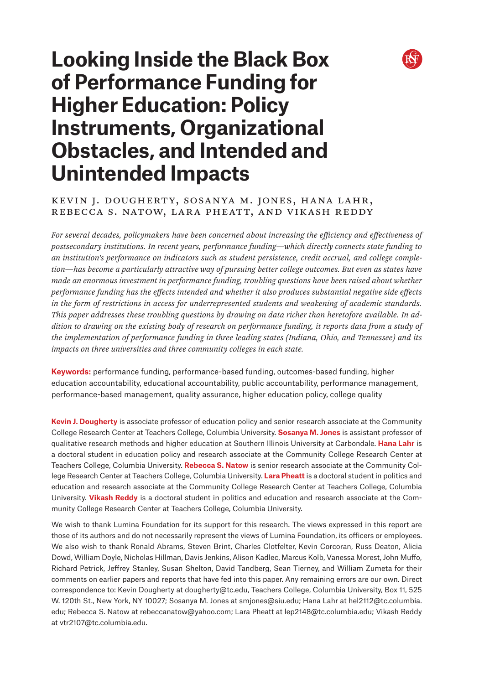

# **Looking Inside the Black Box of Performance Funding for Higher Education: Policy Instruments, Organizational Obstacles, and Intended and Unintended Impacts**

# Kevin J. Dougherty, Sosanya M. Jones, Hana Lahr, Rebecca S. Natow, Lara Pheatt, and Vikash Reddy

*For several decades, policymakers have been concerned about increasing the efficiency and effectiveness of postsecondary institutions. In recent years, performance funding—which directly connects state funding to an institution's performance on indicators such as student persistence, credit accrual, and college completion—has become a particularly attractive way of pursuing better college outcomes. But even as states have made an enormous investment in performance funding, troubling questions have been raised about whether performance funding has the effects intended and whether it also produces substantial negative side effects in the form of restrictions in access for underrepresented students and weakening of academic standards. This paper addresses these troubling questions by drawing on data richer than heretofore available. In addition to drawing on the existing body of research on performance funding, it reports data from a study of the implementation of performance funding in three leading states (Indiana, Ohio, and Tennessee) and its impacts on three universities and three community colleges in each state.* 

**Keywords:** performance funding, performance-based funding, outcomes-based funding, higher education accountability, educational accountability, public accountability, performance management, performance-based management, quality assurance, higher education policy, college quality

**Kevin J. Dougherty** is associate professor of education policy and senior research associate at the Community College Research Center at Teachers College, Columbia University. **Sosanya M. Jones** is assistant professor of qualitative research methods and higher education at Southern Illinois University at Carbondale. **Hana Lahr** is a doctoral student in education policy and research associate at the Community College Research Center at Teachers College, Columbia University. **Rebecca S. Natow** is senior research associate at the Community College Research Center at Teachers College, Columbia University. **Lara Pheatt** is a doctoral student in politics and education and research associate at the Community College Research Center at Teachers College, Columbia University. **Vikash Reddy** is a doctoral student in politics and education and research associate at the Community College Research Center at Teachers College, Columbia University.

We wish to thank Lumina Foundation for its support for this research. The views expressed in this report are those of its authors and do not necessarily represent the views of Lumina Foundation, its officers or employees. We also wish to thank Ronald Abrams, Steven Brint, Charles Clotfelter, Kevin Corcoran, Russ Deaton, Alicia Dowd, William Doyle, Nicholas Hillman, Davis Jenkins, Alison Kadlec, Marcus Kolb, Vanessa Morest, John Muffo, Richard Petrick, Jeffrey Stanley, Susan Shelton, David Tandberg, Sean Tierney, and William Zumeta for their comments on earlier papers and reports that have fed into this paper. Any remaining errors are our own. Direct correspondence to: Kevin Dougherty at dougherty@tc.edu, Teachers College, Columbia University, Box 11, 525 W. 120th St., New York, NY 10027; Sosanya M. Jones at smjones@siu.edu; Hana Lahr at hel2112@tc.columbia. edu; Rebecca S. Natow at rebeccanatow@yahoo.com; Lara Pheatt at lep2148@tc.columbia.edu; Vikash Reddy at vtr2107@tc.columbia.edu.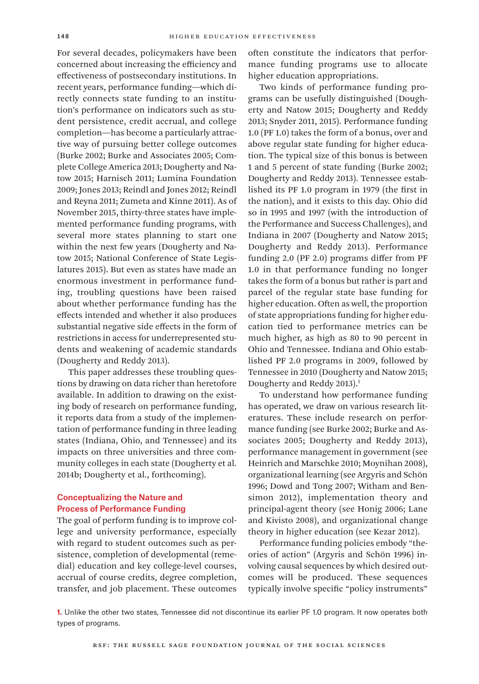For several decades, policymakers have been concerned about increasing the efficiency and effectiveness of postsecondary institutions. In recent years, performance funding—which directly connects state funding to an institution's performance on indicators such as student persistence, credit accrual, and college completion—has become a particularly attractive way of pursuing better college outcomes (Burke 2002; Burke and Associates 2005; Complete College America 2013; Dougherty and Natow 2015; Harnisch 2011; Lumina Foundation 2009; Jones 2013; Reindl and Jones 2012; Reindl and Reyna 2011; Zumeta and Kinne 2011). As of November 2015, thirty-three states have implemented performance funding programs, with several more states planning to start one within the next few years (Dougherty and Natow 2015; National Conference of State Legislatures 2015). But even as states have made an enormous investment in performance funding, troubling questions have been raised about whether performance funding has the effects intended and whether it also produces substantial negative side effects in the form of restrictions in access for underrepresented students and weakening of academic standards (Dougherty and Reddy 2013).

This paper addresses these troubling questions by drawing on data richer than heretofore available. In addition to drawing on the existing body of research on performance funding, it reports data from a study of the implementation of performance funding in three leading states (Indiana, Ohio, and Tennessee) and its impacts on three universities and three community colleges in each state (Dougherty et al. 2014b; Dougherty et al., forthcoming).

# Conceptualizing the Nature and Process of Performance Funding

The goal of perform funding is to improve college and university performance, especially with regard to student outcomes such as persistence, completion of developmental (remedial) education and key college-level courses, accrual of course credits, degree completion, transfer, and job placement. These outcomes often constitute the indicators that performance funding programs use to allocate higher education appropriations.

Two kinds of performance funding programs can be usefully distinguished (Dougherty and Natow 2015; Dougherty and Reddy 2013; Snyder 2011, 2015). Performance funding 1.0 (PF 1.0) takes the form of a bonus, over and above regular state funding for higher education. The typical size of this bonus is between 1 and 5 percent of state funding (Burke 2002; Dougherty and Reddy 2013). Tennessee established its PF 1.0 program in 1979 (the first in the nation), and it exists to this day. Ohio did so in 1995 and 1997 (with the introduction of the Performance and Success Challenges), and Indiana in 2007 (Dougherty and Natow 2015; Dougherty and Reddy 2013). Performance funding 2.0 (PF 2.0) programs differ from PF 1.0 in that performance funding no longer takes the form of a bonus but rather is part and parcel of the regular state base funding for higher education. Often as well, the proportion of state appropriations funding for higher education tied to performance metrics can be much higher, as high as 80 to 90 percent in Ohio and Tennessee. Indiana and Ohio established PF 2.0 programs in 2009, followed by Tennessee in 2010 (Dougherty and Natow 2015; Dougherty and Reddy 2013).<sup>1</sup>

To understand how performance funding has operated, we draw on various research literatures. These include research on performance funding (see Burke 2002; Burke and Associates 2005; Dougherty and Reddy 2013), performance management in government (see Heinrich and Marschke 2010; Moynihan 2008), organizational learning (see Argyris and Schön 1996; Dowd and Tong 2007; Witham and Bensimon 2012), implementation theory and principal-agent theory (see Honig 2006; Lane and Kivisto 2008), and organizational change theory in higher education (see Kezar 2012).

Performance funding policies embody "theories of action" (Argyris and Schön 1996) involving causal sequences by which desired outcomes will be produced. These sequences typically involve specific "policy instruments"

**1.** Unlike the other two states, Tennessee did not discontinue its earlier PF 1.0 program. It now operates both types of programs.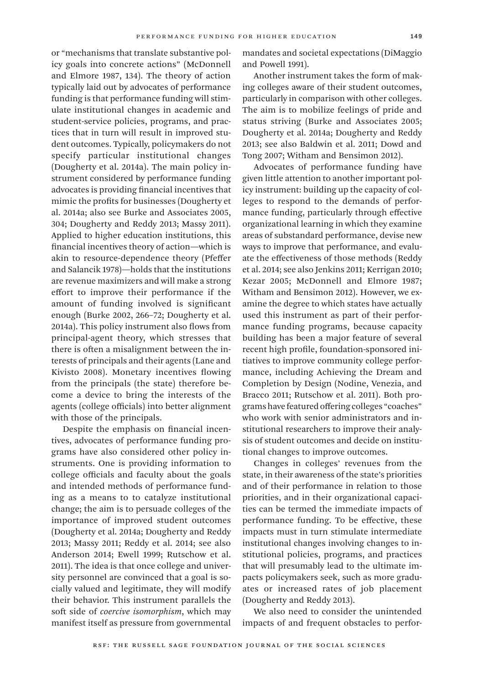or "mechanisms that translate substantive policy goals into concrete actions" (McDonnell and Elmore 1987, 134). The theory of action typically laid out by advocates of performance funding is that performance funding will stimulate institutional changes in academic and student-service policies, programs, and practices that in turn will result in improved student outcomes. Typically, policymakers do not specify particular institutional changes (Dougherty et al. 2014a). The main policy instrument considered by performance funding advocates is providing financial incentives that mimic the profits for businesses (Dougherty et al. 2014a; also see Burke and Associates 2005, 304; Dougherty and Reddy 2013; Massy 2011). Applied to higher education institutions, this financial incentives theory of action—which is akin to resource-dependence theory (Pfeffer and Salancik 1978)—holds that the institutions are revenue maximizers and will make a strong effort to improve their performance if the amount of funding involved is significant enough (Burke 2002, 266–72; Dougherty et al. 2014a). This policy instrument also flows from principal-agent theory, which stresses that there is often a misalignment between the interests of principals and their agents (Lane and Kivisto 2008). Monetary incentives flowing from the principals (the state) therefore become a device to bring the interests of the agents (college officials) into better alignment with those of the principals.

Despite the emphasis on financial incentives, advocates of performance funding programs have also considered other policy instruments. One is providing information to college officials and faculty about the goals and intended methods of performance funding as a means to to catalyze institutional change; the aim is to persuade colleges of the importance of improved student outcomes (Dougherty et al. 2014a; Dougherty and Reddy 2013; Massy 2011; Reddy et al. 2014; see also Anderson 2014; Ewell 1999; Rutschow et al. 2011). The idea is that once college and university personnel are convinced that a goal is socially valued and legitimate, they will modify their behavior. This instrument parallels the soft side of *coercive isomorphism*, which may manifest itself as pressure from governmental

mandates and societal expectations (DiMaggio and Powell 1991).

Another instrument takes the form of making colleges aware of their student outcomes, particularly in comparison with other colleges. The aim is to mobilize feelings of pride and status striving (Burke and Associates 2005; Dougherty et al. 2014a; Dougherty and Reddy 2013; see also Baldwin et al. 2011; Dowd and Tong 2007; Witham and Bensimon 2012).

Advocates of performance funding have given little attention to another important policy instrument: building up the capacity of colleges to respond to the demands of performance funding, particularly through effective organizational learning in which they examine areas of substandard performance, devise new ways to improve that performance, and evaluate the effectiveness of those methods (Reddy et al. 2014; see also Jenkins 2011; Kerrigan 2010; Kezar 2005; McDonnell and Elmore 1987; Witham and Bensimon 2012). However, we examine the degree to which states have actually used this instrument as part of their performance funding programs, because capacity building has been a major feature of several recent high profile, foundation-sponsored initiatives to improve community college performance, including Achieving the Dream and Completion by Design (Nodine, Venezia, and Bracco 2011; Rutschow et al. 2011). Both programs have featured offering colleges "coaches" who work with senior administrators and institutional researchers to improve their analysis of student outcomes and decide on institutional changes to improve outcomes.

Changes in colleges' revenues from the state, in their awareness of the state's priorities and of their performance in relation to those priorities, and in their organizational capacities can be termed the immediate impacts of performance funding. To be effective, these impacts must in turn stimulate intermediate institutional changes involving changes to institutional policies, programs, and practices that will presumably lead to the ultimate impacts policymakers seek, such as more graduates or increased rates of job placement (Dougherty and Reddy 2013).

We also need to consider the unintended impacts of and frequent obstacles to perfor-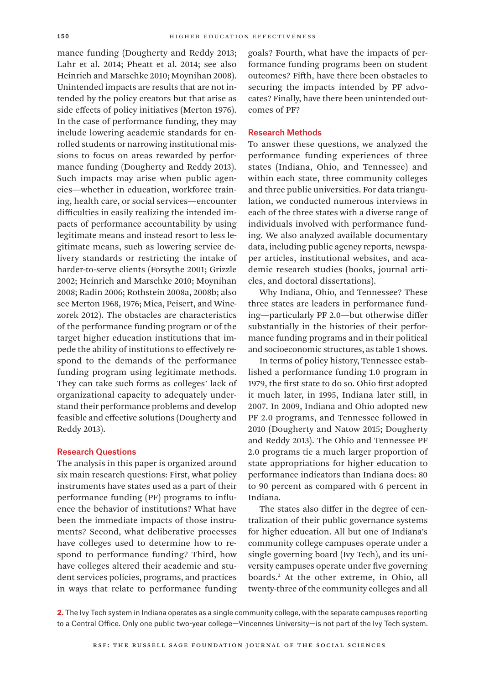mance funding (Dougherty and Reddy 2013; Lahr et al. 2014; Pheatt et al. 2014; see also Heinrich and Marschke 2010; Moynihan 2008). Unintended impacts are results that are not intended by the policy creators but that arise as side effects of policy initiatives (Merton 1976). In the case of performance funding, they may include lowering academic standards for enrolled students or narrowing institutional missions to focus on areas rewarded by performance funding (Dougherty and Reddy 2013). Such impacts may arise when public agencies—whether in education, workforce training, health care, or social services—encounter difficulties in easily realizing the intended impacts of performance accountability by using legitimate means and instead resort to less legitimate means, such as lowering service delivery standards or restricting the intake of harder-to-serve clients (Forsythe 2001; Grizzle 2002; Heinrich and Marschke 2010; Moynihan 2008; Radin 2006; Rothstein 2008a, 2008b; also see Merton 1968, 1976; Mica, Peisert, and Winczorek 2012). The obstacles are characteristics of the performance funding program or of the target higher education institutions that impede the ability of institutions to effectively respond to the demands of the performance funding program using legitimate methods. They can take such forms as colleges' lack of organizational capacity to adequately understand their performance problems and develop feasible and effective solutions (Dougherty and Reddy 2013).

#### Research Questions

The analysis in this paper is organized around six main research questions: First, what policy instruments have states used as a part of their performance funding (PF) programs to influence the behavior of institutions? What have been the immediate impacts of those instruments? Second, what deliberative processes have colleges used to determine how to respond to performance funding? Third, how have colleges altered their academic and student services policies, programs, and practices in ways that relate to performance funding goals? Fourth, what have the impacts of performance funding programs been on student outcomes? Fifth, have there been obstacles to securing the impacts intended by PF advocates? Finally, have there been unintended outcomes of PF?

## Research Methods

To answer these questions, we analyzed the performance funding experiences of three states (Indiana, Ohio, and Tennessee) and within each state, three community colleges and three public universities. For data triangulation, we conducted numerous interviews in each of the three states with a diverse range of individuals involved with performance funding. We also analyzed available documentary data, including public agency reports, newspaper articles, institutional websites, and academic research studies (books, journal articles, and doctoral dissertations).

Why Indiana, Ohio, and Tennessee? These three states are leaders in performance funding—particularly PF 2.0—but otherwise differ substantially in the histories of their performance funding programs and in their political and socioeconomic structures, as table 1 shows.

In terms of policy history, Tennessee established a performance funding 1.0 program in 1979, the first state to do so. Ohio first adopted it much later, in 1995, Indiana later still, in 2007. In 2009, Indiana and Ohio adopted new PF 2.0 programs, and Tennessee followed in 2010 (Dougherty and Natow 2015; Dougherty and Reddy 2013). The Ohio and Tennessee PF 2.0 programs tie a much larger proportion of state appropriations for higher education to performance indicators than Indiana does: 80 to 90 percent as compared with 6 percent in Indiana.

The states also differ in the degree of centralization of their public governance systems for higher education. All but one of Indiana's community college campuses operate under a single governing board (Ivy Tech), and its university campuses operate under five governing boards.2 At the other extreme, in Ohio, all twenty-three of the community colleges and all

**2.** The Ivy Tech system in Indiana operates as a single community college, with the separate campuses reporting to a Central Office. Only one public two-year college—Vincennes University—is not part of the Ivy Tech system.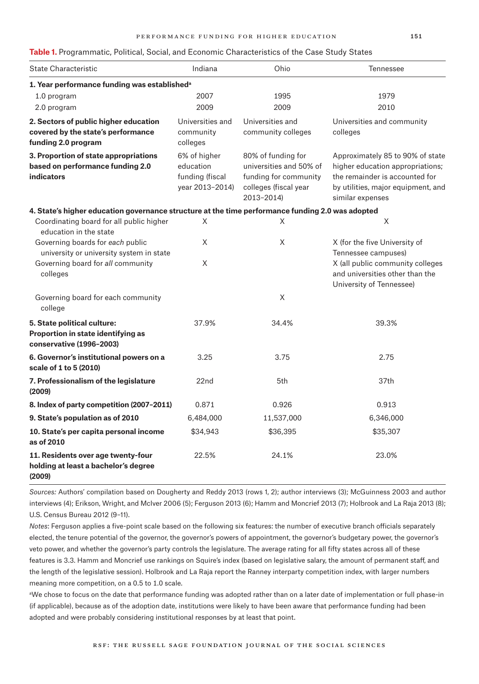#### **Table 1.** Programmatic, Political, Social, and Economic Characteristics of the Case Study States

| <b>State Characteristic</b>                                                                        | Indiana                                                         | Ohio                                                                                                          | <b>Tennessee</b>                                                                                                                                                 |  |  |
|----------------------------------------------------------------------------------------------------|-----------------------------------------------------------------|---------------------------------------------------------------------------------------------------------------|------------------------------------------------------------------------------------------------------------------------------------------------------------------|--|--|
| 1. Year performance funding was established <sup>a</sup>                                           |                                                                 |                                                                                                               |                                                                                                                                                                  |  |  |
| 1.0 program                                                                                        | 2007                                                            | 1995                                                                                                          | 1979                                                                                                                                                             |  |  |
| 2.0 program                                                                                        | 2009                                                            | 2009                                                                                                          | 2010                                                                                                                                                             |  |  |
| 2. Sectors of public higher education<br>covered by the state's performance<br>funding 2.0 program | Universities and<br>community<br>colleges                       | Universities and<br>community colleges                                                                        | Universities and community<br>colleges                                                                                                                           |  |  |
| 3. Proportion of state appropriations<br>based on performance funding 2.0<br><b>indicators</b>     | 6% of higher<br>education<br>funding (fiscal<br>year 2013-2014) | 80% of funding for<br>universities and 50% of<br>funding for community<br>colleges (fiscal year<br>2013-2014) | Approximately 85 to 90% of state<br>higher education appropriations;<br>the remainder is accounted for<br>by utilities, major equipment, and<br>similar expenses |  |  |
| 4. State's higher education governance structure at the time performance funding 2.0 was adopted   |                                                                 |                                                                                                               |                                                                                                                                                                  |  |  |
| Coordinating board for all public higher<br>education in the state                                 | X                                                               | X                                                                                                             | X                                                                                                                                                                |  |  |
| Governing boards for each public<br>university or university system in state                       | X                                                               | X                                                                                                             | X (for the five University of<br>Tennessee campuses)<br>X (all public community colleges<br>and universities other than the<br>University of Tennessee)          |  |  |
| Governing board for all community<br>colleges                                                      | X                                                               |                                                                                                               |                                                                                                                                                                  |  |  |
| Governing board for each community<br>college                                                      |                                                                 | X                                                                                                             |                                                                                                                                                                  |  |  |
| 5. State political culture:<br>Proportion in state identifying as<br>conservative (1996-2003)      | 37.9%                                                           | 34.4%                                                                                                         | 39.3%                                                                                                                                                            |  |  |
| 6. Governor's institutional powers on a<br>scale of 1 to 5 (2010)                                  | 3.25                                                            | 3.75                                                                                                          | 2.75                                                                                                                                                             |  |  |
| 7. Professionalism of the legislature<br>(2009)                                                    | 22 <sub>nd</sub>                                                | 5th                                                                                                           | 37th                                                                                                                                                             |  |  |
| 8. Index of party competition (2007-2011)                                                          | 0.871                                                           | 0.926                                                                                                         | 0.913                                                                                                                                                            |  |  |
| 9. State's population as of 2010                                                                   | 6,484,000                                                       | 11,537,000                                                                                                    | 6,346,000                                                                                                                                                        |  |  |
| 10. State's per capita personal income<br>as of 2010                                               | \$34,943                                                        | \$36,395                                                                                                      | \$35,307                                                                                                                                                         |  |  |
| 11. Residents over age twenty-four<br>holding at least a bachelor's degree<br>(2009)               | 22.5%                                                           | 24.1%                                                                                                         | 23.0%                                                                                                                                                            |  |  |

*Sources:* Authors' compilation based on Dougherty and Reddy 2013 (rows 1, 2); author interviews (3); McGuinness 2003 and author interviews (4); Erikson, Wright, and McIver 2006 (5); Ferguson 2013 (6); Hamm and Moncrief 2013 (7); Holbrook and La Raja 2013 (8); U.S. Census Bureau 2012 (9–11).

*Notes*: Ferguson applies a five-point scale based on the following six features: the number of executive branch officials separately elected, the tenure potential of the governor, the governor's powers of appointment, the governor's budgetary power, the governor's veto power, and whether the governor's party controls the legislature. The average rating for all fifty states across all of these features is 3.3. Hamm and Moncrief use rankings on Squire's index (based on legislative salary, the amount of permanent staff, and the length of the legislative session). Holbrook and La Raja report the Ranney interparty competition index, with larger numbers meaning more competition, on a 0.5 to 1.0 scale.

aWe chose to focus on the date that performance funding was adopted rather than on a later date of implementation or full phase-in (if applicable), because as of the adoption date, institutions were likely to have been aware that performance funding had been adopted and were probably considering institutional responses by at least that point.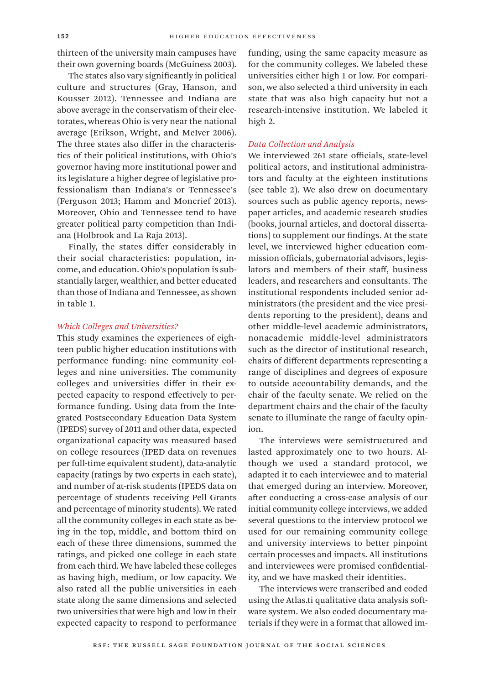thirteen of the university main campuses have their own governing boards (McGuiness 2003).

The states also vary significantly in political culture and structures (Gray, Hanson, and Kousser 2012). Tennessee and Indiana are above average in the conservatism of their electorates, whereas Ohio is very near the national average (Erikson, Wright, and McIver 2006). The three states also differ in the characteristics of their political institutions, with Ohio's governor having more institutional power and its legislature a higher degree of legislative professionalism than Indiana's or Tennessee's (Ferguson 2013; Hamm and Moncrief 2013). Moreover, Ohio and Tennessee tend to have greater political party competition than Indiana (Holbrook and La Raja 2013).

Finally, the states differ considerably in their social characteristics: population, income, and education. Ohio's population is substantially larger, wealthier, and better educated than those of Indiana and Tennessee, as shown in table 1.

## *Which Colleges and Universities?*

This study examines the experiences of eighteen public higher education institutions with performance funding: nine community colleges and nine universities. The community colleges and universities differ in their expected capacity to respond effectively to performance funding. Using data from the Integrated Postsecondary Education Data System (IPEDS) survey of 2011 and other data, expected organizational capacity was measured based on college resources (IPED data on revenues per full-time equivalent student), data-analytic capacity (ratings by two experts in each state), and number of at-risk students (IPEDS data on percentage of students receiving Pell Grants and percentage of minority students). We rated all the community colleges in each state as being in the top, middle, and bottom third on each of these three dimensions, summed the ratings, and picked one college in each state from each third. We have labeled these colleges as having high, medium, or low capacity. We also rated all the public universities in each state along the same dimensions and selected two universities that were high and low in their expected capacity to respond to performance

funding, using the same capacity measure as for the community colleges. We labeled these universities either high 1 or low. For comparison, we also selected a third university in each state that was also high capacity but not a research-intensive institution. We labeled it high 2.

## *Data Collection and Analysis*

We interviewed 261 state officials, state-level political actors, and institutional administrators and faculty at the eighteen institutions (see table 2). We also drew on documentary sources such as public agency reports, newspaper articles, and academic research studies (books, journal articles, and doctoral dissertations) to supplement our findings. At the state level, we interviewed higher education commission officials, gubernatorial advisors, legislators and members of their staff, business leaders, and researchers and consultants. The institutional respondents included senior administrators (the president and the vice presidents reporting to the president), deans and other middle-level academic administrators, nonacademic middle-level administrators such as the director of institutional research, chairs of different departments representing a range of disciplines and degrees of exposure to outside accountability demands, and the chair of the faculty senate. We relied on the department chairs and the chair of the faculty senate to illuminate the range of faculty opinion.

The interviews were semistructured and lasted approximately one to two hours. Although we used a standard protocol, we adapted it to each interviewee and to material that emerged during an interview. Moreover, after conducting a cross-case analysis of our initial community college interviews, we added several questions to the interview protocol we used for our remaining community college and university interviews to better pinpoint certain processes and impacts. All institutions and interviewees were promised confidentiality, and we have masked their identities.

The interviews were transcribed and coded using the Atlas.ti qualitative data analysis software system. We also coded documentary materials if they were in a format that allowed im-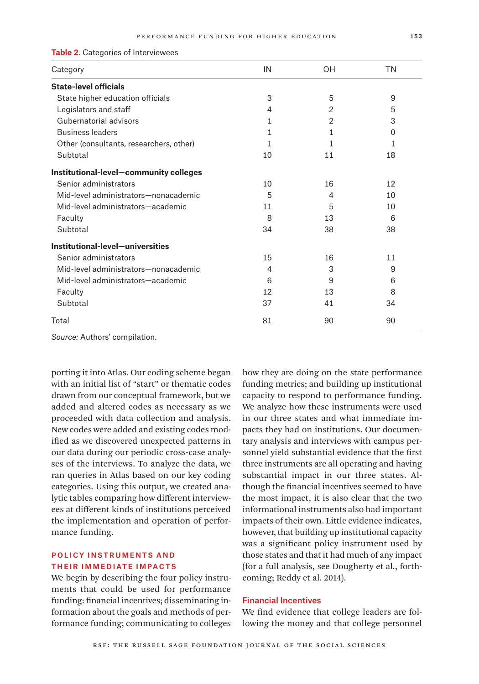#### **Table 2.** Categories of Interviewees

| Category                                | IN | OΗ             | <b>TN</b> |
|-----------------------------------------|----|----------------|-----------|
| <b>State-level officials</b>            |    |                |           |
| State higher education officials        | 3  | 5              | 9         |
| Legislators and staff                   | 4  | 2              | 5         |
| Gubernatorial advisors                  | 1  | $\overline{2}$ | 3         |
| <b>Business leaders</b>                 | 1  | 1              | 0         |
| Other (consultants, researchers, other) | 1  | 1              | 1         |
| Subtotal                                | 10 | 11             | 18        |
| Institutional-level-community colleges  |    |                |           |
| Senior administrators                   | 10 | 16             | 12        |
| Mid-level administrators-nonacademic    | 5  | 4              | 10        |
| Mid-level administrators-academic       | 11 | 5              | 10        |
| Faculty                                 | 8  | 13             | 6         |
| Subtotal                                | 34 | 38             | 38        |
| Institutional-level-universities        |    |                |           |
| Senior administrators                   | 15 | 16             | 11        |
| Mid-level administrators-nonacademic    | 4  | 3              | 9         |
| Mid-level administrators-academic       | 6  | 9              | 6         |
| Faculty                                 | 12 | 13             | 8         |
| Subtotal                                | 37 | 41             | 34        |
| Total                                   | 81 | 90             | 90        |

*Source:* Authors' compilation.

porting it into Atlas. Our coding scheme began with an initial list of "start" or thematic codes drawn from our conceptual framework, but we added and altered codes as necessary as we proceeded with data collection and analysis. New codes were added and existing codes modified as we discovered unexpected patterns in our data during our periodic cross-case analyses of the interviews. To analyze the data, we ran queries in Atlas based on our key coding categories. Using this output, we created analytic tables comparing how different interviewees at different kinds of institutions perceived the implementation and operation of performance funding.

# Policy Instruments and Their Immediate Impacts

We begin by describing the four policy instruments that could be used for performance funding: financial incentives; disseminating information about the goals and methods of performance funding; communicating to colleges

how they are doing on the state performance funding metrics; and building up institutional capacity to respond to performance funding. We analyze how these instruments were used in our three states and what immediate impacts they had on institutions. Our documentary analysis and interviews with campus personnel yield substantial evidence that the first three instruments are all operating and having substantial impact in our three states. Although the financial incentives seemed to have the most impact, it is also clear that the two informational instruments also had important impacts of their own. Little evidence indicates, however, that building up institutional capacity was a significant policy instrument used by those states and that it had much of any impact (for a full analysis, see Dougherty et al., forthcoming; Reddy et al. 2014).

## Financial Incentives

We find evidence that college leaders are following the money and that college personnel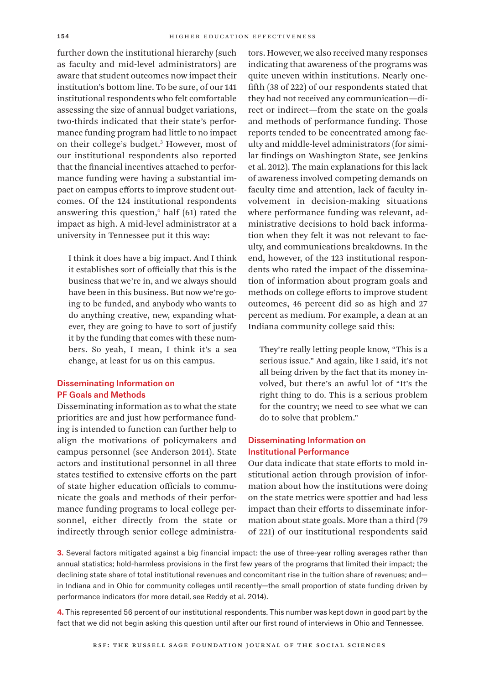further down the institutional hierarchy (such as faculty and mid-level administrators) are aware that student outcomes now impact their institution's bottom line. To be sure, of our 141 institutional respondents who felt comfortable assessing the size of annual budget variations, two-thirds indicated that their state's performance funding program had little to no impact on their college's budget.3 However, most of our institutional respondents also reported that the financial incentives attached to performance funding were having a substantial impact on campus efforts to improve student outcomes. Of the 124 institutional respondents answering this question,<sup>4</sup> half (61) rated the impact as high. A mid-level administrator at a university in Tennessee put it this way:

I think it does have a big impact. And I think it establishes sort of officially that this is the business that we're in, and we always should have been in this business. But now we're going to be funded, and anybody who wants to do anything creative, new, expanding whatever, they are going to have to sort of justify it by the funding that comes with these numbers. So yeah, I mean, I think it's a sea change, at least for us on this campus.

# Disseminating Information on PF Goals and Methods

Disseminating information as to what the state priorities are and just how performance funding is intended to function can further help to align the motivations of policymakers and campus personnel (see Anderson 2014). State actors and institutional personnel in all three states testified to extensive efforts on the part of state higher education officials to communicate the goals and methods of their performance funding programs to local college personnel, either directly from the state or indirectly through senior college administra-

tors. However, we also received many responses indicating that awareness of the programs was quite uneven within institutions. Nearly onefifth (38 of 222) of our respondents stated that they had not received any communication—direct or indirect—from the state on the goals and methods of performance funding. Those reports tended to be concentrated among faculty and middle-level administrators (for similar findings on Washington State, see Jenkins et al. 2012). The main explanations for this lack of awareness involved competing demands on faculty time and attention, lack of faculty involvement in decision-making situations where performance funding was relevant, administrative decisions to hold back information when they felt it was not relevant to faculty, and communications breakdowns. In the end, however, of the 123 institutional respondents who rated the impact of the dissemination of information about program goals and methods on college efforts to improve student outcomes, 46 percent did so as high and 27 percent as medium. For example, a dean at an Indiana community college said this:

They're really letting people know, "This is a serious issue." And again, like I said, it's not all being driven by the fact that its money involved, but there's an awful lot of "It's the right thing to do. This is a serious problem for the country; we need to see what we can do to solve that problem."

# Disseminating Information on Institutional Performance

Our data indicate that state efforts to mold institutional action through provision of information about how the institutions were doing on the state metrics were spottier and had less impact than their efforts to disseminate information about state goals. More than a third (79 of 221) of our institutional respondents said

**3.** Several factors mitigated against a big financial impact: the use of three-year rolling averages rather than annual statistics; hold-harmless provisions in the first few years of the programs that limited their impact; the declining state share of total institutional revenues and concomitant rise in the tuition share of revenues; andin Indiana and in Ohio for community colleges until recently—the small proportion of state funding driven by performance indicators (for more detail, see Reddy et al. 2014).

**4.** This represented 56 percent of our institutional respondents. This number was kept down in good part by the fact that we did not begin asking this question until after our first round of interviews in Ohio and Tennessee.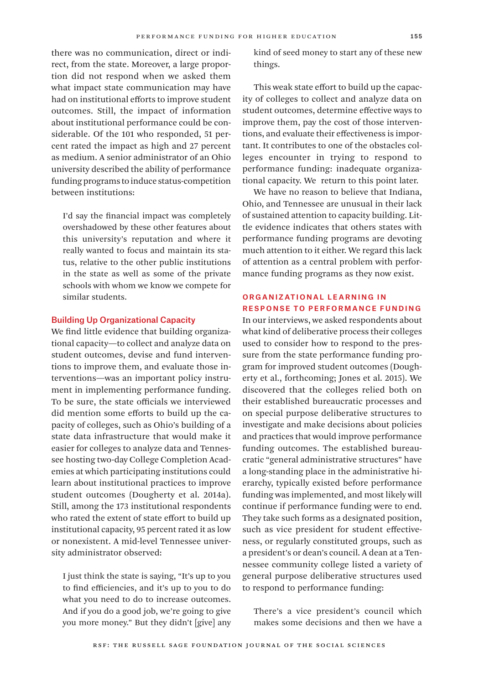there was no communication, direct or indirect, from the state. Moreover, a large proportion did not respond when we asked them what impact state communication may have had on institutional efforts to improve student outcomes. Still, the impact of information about institutional performance could be considerable. Of the 101 who responded, 51 percent rated the impact as high and 27 percent as medium. A senior administrator of an Ohio university described the ability of performance funding programs to induce status-competition between institutions:

I'd say the financial impact was completely overshadowed by these other features about this university's reputation and where it really wanted to focus and maintain its status, relative to the other public institutions in the state as well as some of the private schools with whom we know we compete for similar students.

#### Building Up Organizational Capacity

We find little evidence that building organizational capacity—to collect and analyze data on student outcomes, devise and fund interventions to improve them, and evaluate those interventions—was an important policy instrument in implementing performance funding. To be sure, the state officials we interviewed did mention some efforts to build up the capacity of colleges, such as Ohio's building of a state data infrastructure that would make it easier for colleges to analyze data and Tennessee hosting two-day College Completion Academies at which participating institutions could learn about institutional practices to improve student outcomes (Dougherty et al. 2014a). Still, among the 173 institutional respondents who rated the extent of state effort to build up institutional capacity, 95 percent rated it as low or nonexistent. A mid-level Tennessee university administrator observed:

I just think the state is saying, "It's up to you to find efficiencies, and it's up to you to do what you need to do to increase outcomes. And if you do a good job, we're going to give you more money." But they didn't [give] any

kind of seed money to start any of these new things.

This weak state effort to build up the capacity of colleges to collect and analyze data on student outcomes, determine effective ways to improve them, pay the cost of those interventions, and evaluate their effectiveness is important. It contributes to one of the obstacles colleges encounter in trying to respond to performance funding: inadequate organizational capacity. We return to this point later.

We have no reason to believe that Indiana, Ohio, and Tennessee are unusual in their lack of sustained attention to capacity building. Little evidence indicates that others states with performance funding programs are devoting much attention to it either. We regard this lack of attention as a central problem with performance funding programs as they now exist.

# Organizational Learning in Response to Performance Funding

In our interviews, we asked respondents about what kind of deliberative process their colleges used to consider how to respond to the pressure from the state performance funding program for improved student outcomes (Dougherty et al., forthcoming; Jones et al. 2015). We discovered that the colleges relied both on their established bureaucratic processes and on special purpose deliberative structures to investigate and make decisions about policies and practices that would improve performance funding outcomes. The established bureaucratic "general administrative structures" have a long-standing place in the administrative hierarchy, typically existed before performance funding was implemented, and most likely will continue if performance funding were to end. They take such forms as a designated position, such as vice president for student effectiveness, or regularly constituted groups, such as a president's or dean's council. A dean at a Tennessee community college listed a variety of general purpose deliberative structures used to respond to performance funding:

There's a vice president's council which makes some decisions and then we have a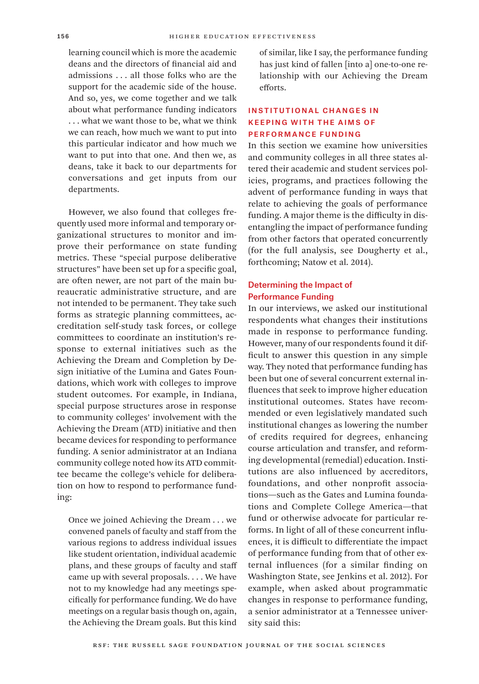learning council which is more the academic deans and the directors of financial aid and admissions . . . all those folks who are the support for the academic side of the house. And so, yes, we come together and we talk about what performance funding indicators . . . what we want those to be, what we think we can reach, how much we want to put into this particular indicator and how much we want to put into that one. And then we, as deans, take it back to our departments for conversations and get inputs from our departments.

However, we also found that colleges frequently used more informal and temporary organizational structures to monitor and improve their performance on state funding metrics. These "special purpose deliberative structures" have been set up for a specific goal, are often newer, are not part of the main bureaucratic administrative structure, and are not intended to be permanent. They take such forms as strategic planning committees, accreditation self-study task forces, or college committees to coordinate an institution's response to external initiatives such as the Achieving the Dream and Completion by Design initiative of the Lumina and Gates Foundations, which work with colleges to improve student outcomes. For example, in Indiana, special purpose structures arose in response to community colleges' involvement with the Achieving the Dream (ATD) initiative and then became devices for responding to performance funding. A senior administrator at an Indiana community college noted how its ATD committee became the college's vehicle for deliberation on how to respond to performance funding:

Once we joined Achieving the Dream . . . we convened panels of faculty and staff from the various regions to address individual issues like student orientation, individual academic plans, and these groups of faculty and staff came up with several proposals. . . . We have not to my knowledge had any meetings specifically for performance funding. We do have meetings on a regular basis though on, again, the Achieving the Dream goals. But this kind

of similar, like I say, the performance funding has just kind of fallen [into a] one-to-one relationship with our Achieving the Dream efforts.

# Institutional Changes in Keeping with the Aims of Performance Funding

In this section we examine how universities and community colleges in all three states altered their academic and student services policies, programs, and practices following the advent of performance funding in ways that relate to achieving the goals of performance funding. A major theme is the difficulty in disentangling the impact of performance funding from other factors that operated concurrently (for the full analysis, see Dougherty et al., forthcoming; Natow et al. 2014).

# Determining the Impact of Performance Funding

In our interviews, we asked our institutional respondents what changes their institutions made in response to performance funding. However, many of our respondents found it difficult to answer this question in any simple way. They noted that performance funding has been but one of several concurrent external influences that seek to improve higher education institutional outcomes. States have recommended or even legislatively mandated such institutional changes as lowering the number of credits required for degrees, enhancing course articulation and transfer, and reforming developmental (remedial) education. Institutions are also influenced by accreditors, foundations, and other nonprofit associations—such as the Gates and Lumina foundations and Complete College America—that fund or otherwise advocate for particular reforms. In light of all of these concurrent influences, it is difficult to differentiate the impact of performance funding from that of other external influences (for a similar finding on Washington State, see Jenkins et al. 2012). For example, when asked about programmatic changes in response to performance funding, a senior administrator at a Tennessee university said this: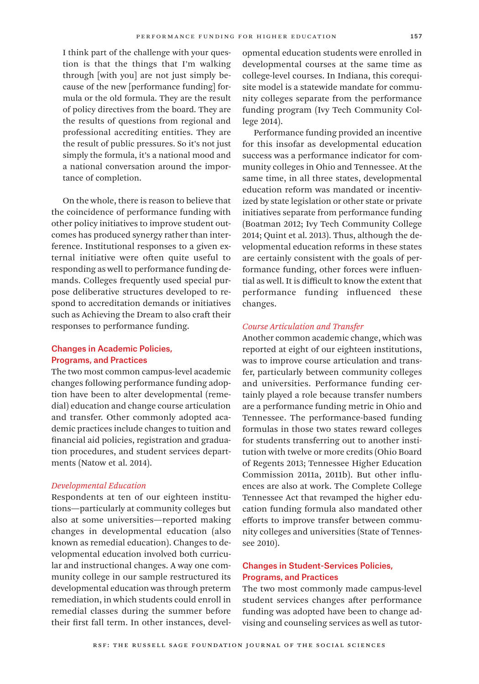I think part of the challenge with your question is that the things that I'm walking through [with you] are not just simply because of the new [performance funding] formula or the old formula. They are the result of policy directives from the board. They are the results of questions from regional and professional accrediting entities. They are the result of public pressures. So it's not just simply the formula, it's a national mood and a national conversation around the importance of completion.

On the whole, there is reason to believe that the coincidence of performance funding with other policy initiatives to improve student outcomes has produced synergy rather than interference. Institutional responses to a given external initiative were often quite useful to responding as well to performance funding demands. Colleges frequently used special purpose deliberative structures developed to respond to accreditation demands or initiatives such as Achieving the Dream to also craft their responses to performance funding.

## Changes in Academic Policies, Programs, and Practices

The two most common campus-level academic changes following performance funding adoption have been to alter developmental (remedial) education and change course articulation and transfer. Other commonly adopted academic practices include changes to tuition and financial aid policies, registration and graduation procedures, and student services departments (Natow et al. 2014).

## *Developmental Education*

Respondents at ten of our eighteen institutions—particularly at community colleges but also at some universities—reported making changes in developmental education (also known as remedial education). Changes to developmental education involved both curricular and instructional changes. A way one community college in our sample restructured its developmental education was through preterm remediation, in which students could enroll in remedial classes during the summer before their first fall term. In other instances, developmental education students were enrolled in developmental courses at the same time as college-level courses. In Indiana, this corequisite model is a statewide mandate for community colleges separate from the performance funding program (Ivy Tech Community College 2014).

Performance funding provided an incentive for this insofar as developmental education success was a performance indicator for community colleges in Ohio and Tennessee. At the same time, in all three states, developmental education reform was mandated or incentivized by state legislation or other state or private initiatives separate from performance funding (Boatman 2012; Ivy Tech Community College 2014; Quint et al. 2013). Thus, although the developmental education reforms in these states are certainly consistent with the goals of performance funding, other forces were influential as well. It is difficult to know the extent that performance funding influenced these changes.

## *Course Articulation and Transfer*

Another common academic change, which was reported at eight of our eighteen institutions, was to improve course articulation and transfer, particularly between community colleges and universities. Performance funding certainly played a role because transfer numbers are a performance funding metric in Ohio and Tennessee. The performance-based funding formulas in those two states reward colleges for students transferring out to another institution with twelve or more credits (Ohio Board of Regents 2013; Tennessee Higher Education Commission 2011a, 2011b). But other influences are also at work. The Complete College Tennessee Act that revamped the higher education funding formula also mandated other efforts to improve transfer between community colleges and universities (State of Tennessee 2010).

# Changes in Student-Services Policies, Programs, and Practices

The two most commonly made campus-level student services changes after performance funding was adopted have been to change advising and counseling services as well as tutor-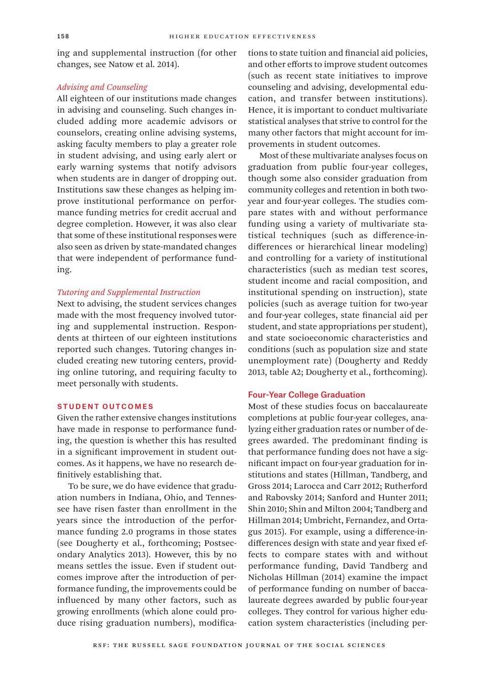ing and supplemental instruction (for other changes, see Natow et al. 2014).

## *Advising and Counseling*

All eighteen of our institutions made changes in advising and counseling. Such changes included adding more academic advisors or counselors, creating online advising systems, asking faculty members to play a greater role in student advising, and using early alert or early warning systems that notify advisors when students are in danger of dropping out. Institutions saw these changes as helping improve institutional performance on performance funding metrics for credit accrual and degree completion. However, it was also clear that some of these institutional responses were also seen as driven by state-mandated changes that were independent of performance funding.

## *Tutoring and Supplemental Instruction*

Next to advising, the student services changes made with the most frequency involved tutoring and supplemental instruction. Respondents at thirteen of our eighteen institutions reported such changes. Tutoring changes included creating new tutoring centers, providing online tutoring, and requiring faculty to meet personally with students.

## Student Outcomes

Given the rather extensive changes institutions have made in response to performance funding, the question is whether this has resulted in a significant improvement in student outcomes. As it happens, we have no research definitively establishing that.

To be sure, we do have evidence that graduation numbers in Indiana, Ohio, and Tennessee have risen faster than enrollment in the years since the introduction of the performance funding 2.0 programs in those states (see Dougherty et al., forthcoming; Postsecondary Analytics 2013). However, this by no means settles the issue. Even if student outcomes improve after the introduction of performance funding, the improvements could be influenced by many other factors, such as growing enrollments (which alone could produce rising graduation numbers), modifications to state tuition and financial aid policies, and other efforts to improve student outcomes (such as recent state initiatives to improve counseling and advising, developmental education, and transfer between institutions). Hence, it is important to conduct multivariate statistical analyses that strive to control for the many other factors that might account for improvements in student outcomes.

Most of these multivariate analyses focus on graduation from public four-year colleges, though some also consider graduation from community colleges and retention in both twoyear and four-year colleges. The studies compare states with and without performance funding using a variety of multivariate statistical techniques (such as difference-indifferences or hierarchical linear modeling) and controlling for a variety of institutional characteristics (such as median test scores, student income and racial composition, and institutional spending on instruction), state policies (such as average tuition for two-year and four-year colleges, state financial aid per student, and state appropriations per student), and state socioeconomic characteristics and conditions (such as population size and state unemployment rate) (Dougherty and Reddy 2013, table A2; Dougherty et al., forthcoming).

## Four-Year College Graduation

Most of these studies focus on baccalaureate completions at public four-year colleges, analyzing either graduation rates or number of degrees awarded. The predominant finding is that performance funding does not have a significant impact on four-year graduation for institutions and states (Hillman, Tandberg, and Gross 2014; Larocca and Carr 2012; Rutherford and Rabovsky 2014; Sanford and Hunter 2011; Shin 2010; Shin and Milton 2004; Tandberg and Hillman 2014; Umbricht, Fernandez, and Ortagus 2015). For example, using a difference-indifferences design with state and year fixed effects to compare states with and without performance funding, David Tandberg and Nicholas Hillman (2014) examine the impact of performance funding on number of baccalaureate degrees awarded by public four-year colleges. They control for various higher education system characteristics (including per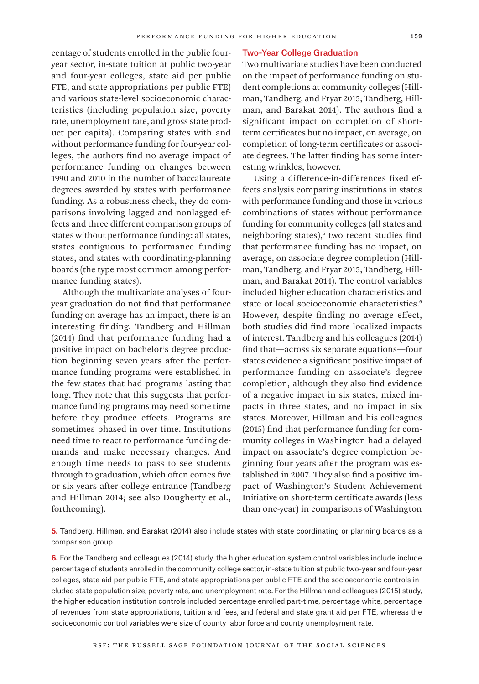centage of students enrolled in the public fouryear sector, in-state tuition at public two-year and four-year colleges, state aid per public FTE, and state appropriations per public FTE) and various state-level socioeconomic characteristics (including population size, poverty rate, unemployment rate, and gross state product per capita). Comparing states with and without performance funding for four-year colleges, the authors find no average impact of performance funding on changes between 1990 and 2010 in the number of baccalaureate degrees awarded by states with performance funding. As a robustness check, they do comparisons involving lagged and nonlagged effects and three different comparison groups of states without performance funding: all states, states contiguous to performance funding states, and states with coordinating-planning boards (the type most common among performance funding states).

Although the multivariate analyses of fouryear graduation do not find that performance funding on average has an impact, there is an interesting finding. Tandberg and Hillman (2014) find that performance funding had a positive impact on bachelor's degree production beginning seven years after the performance funding programs were established in the few states that had programs lasting that long. They note that this suggests that performance funding programs may need some time before they produce effects. Programs are sometimes phased in over time. Institutions need time to react to performance funding demands and make necessary changes. And enough time needs to pass to see students through to graduation, which often comes five or six years after college entrance (Tandberg and Hillman 2014; see also Dougherty et al., forthcoming).

#### Two-Year College Graduation

Two multivariate studies have been conducted on the impact of performance funding on student completions at community colleges (Hillman, Tandberg, and Fryar 2015; Tandberg, Hillman, and Barakat 2014). The authors find a significant impact on completion of shortterm certificates but no impact, on average, on completion of long-term certificates or associate degrees. The latter finding has some interesting wrinkles, however.

Using a difference-in-differences fixed effects analysis comparing institutions in states with performance funding and those in various combinations of states without performance funding for community colleges (all states and neighboring states),<sup>5</sup> two recent studies find that performance funding has no impact, on average, on associate degree completion (Hillman, Tandberg, and Fryar 2015; Tandberg, Hillman, and Barakat 2014). The control variables included higher education characteristics and state or local socioeconomic characteristics.<sup>6</sup> However, despite finding no average effect, both studies did find more localized impacts of interest. Tandberg and his colleagues (2014) find that—across six separate equations—four states evidence a significant positive impact of performance funding on associate's degree completion, although they also find evidence of a negative impact in six states, mixed impacts in three states, and no impact in six states. Moreover, Hillman and his colleagues (2015) find that performance funding for community colleges in Washington had a delayed impact on associate's degree completion beginning four years after the program was established in 2007. They also find a positive impact of Washington's Student Achievement Initiative on short-term certificate awards (less than one-year) in comparisons of Washington

**5.** Tandberg, Hillman, and Barakat (2014) also include states with state coordinating or planning boards as a comparison group.

**6.** For the Tandberg and colleagues (2014) study, the higher education system control variables include include percentage of students enrolled in the community college sector, in-state tuition at public two-year and four-year colleges, state aid per public FTE, and state appropriations per public FTE and the socioeconomic controls included state population size, poverty rate, and unemployment rate. For the Hillman and colleagues (2015) study, the higher education institution controls included percentage enrolled part-time, percentage white, percentage of revenues from state appropriations, tuition and fees, and federal and state grant aid per FTE, whereas the socioeconomic control variables were size of county labor force and county unemployment rate.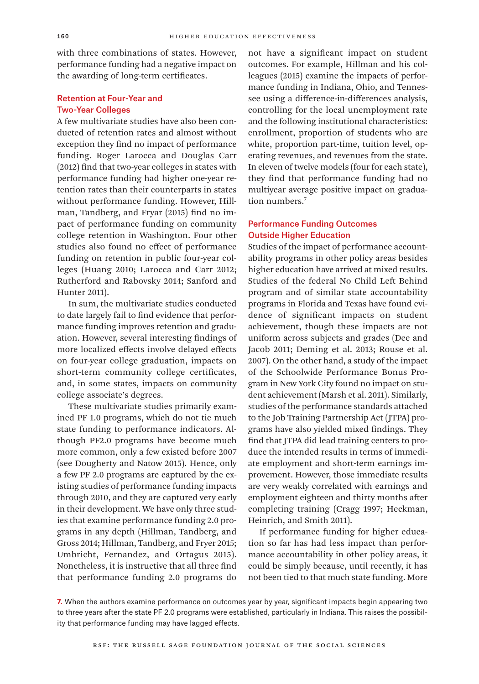with three combinations of states. However, performance funding had a negative impact on the awarding of long-term certificates.

# Retention at Four-Year and Two-Year Colleges

A few multivariate studies have also been conducted of retention rates and almost without exception they find no impact of performance funding. Roger Larocca and Douglas Carr (2012) find that two-year colleges in states with performance funding had higher one-year retention rates than their counterparts in states without performance funding. However, Hillman, Tandberg, and Fryar (2015) find no impact of performance funding on community college retention in Washington. Four other studies also found no effect of performance funding on retention in public four-year colleges (Huang 2010; Larocca and Carr 2012; Rutherford and Rabovsky 2014; Sanford and Hunter 2011).

In sum, the multivariate studies conducted to date largely fail to find evidence that performance funding improves retention and graduation. However, several interesting findings of more localized effects involve delayed effects on four-year college graduation, impacts on short-term community college certificates, and, in some states, impacts on community college associate's degrees.

These multivariate studies primarily examined PF 1.0 programs, which do not tie much state funding to performance indicators. Although PF2.0 programs have become much more common, only a few existed before 2007 (see Dougherty and Natow 2015). Hence, only a few PF 2.0 programs are captured by the existing studies of performance funding impacts through 2010, and they are captured very early in their development. We have only three studies that examine performance funding 2.0 programs in any depth (Hillman, Tandberg, and Gross 2014; Hillman, Tandberg, and Fryer 2015; Umbricht, Fernandez, and Ortagus 2015). Nonetheless, it is instructive that all three find that performance funding 2.0 programs do

not have a significant impact on student outcomes. For example, Hillman and his colleagues (2015) examine the impacts of performance funding in Indiana, Ohio, and Tennessee using a difference-in-differences analysis, controlling for the local unemployment rate and the following institutional characteristics: enrollment, proportion of students who are white, proportion part-time, tuition level, operating revenues, and revenues from the state. In eleven of twelve models (four for each state), they find that performance funding had no multiyear average positive impact on graduation numbers.<sup>7</sup>

# Performance Funding Outcomes Outside Higher Education

Studies of the impact of performance accountability programs in other policy areas besides higher education have arrived at mixed results. Studies of the federal No Child Left Behind program and of similar state accountability programs in Florida and Texas have found evidence of significant impacts on student achievement, though these impacts are not uniform across subjects and grades (Dee and Jacob 2011; Deming et al. 2013; Rouse et al. 2007). On the other hand, a study of the impact of the Schoolwide Performance Bonus Program in New York City found no impact on student achievement (Marsh et al. 2011). Similarly, studies of the performance standards attached to the Job Training Partnership Act (JTPA) programs have also yielded mixed findings. They find that JTPA did lead training centers to produce the intended results in terms of immediate employment and short-term earnings improvement. However, those immediate results are very weakly correlated with earnings and employment eighteen and thirty months after completing training (Cragg 1997; Heckman, Heinrich, and Smith 2011).

If performance funding for higher education so far has had less impact than performance accountability in other policy areas, it could be simply because, until recently, it has not been tied to that much state funding. More

**7.** When the authors examine performance on outcomes year by year, significant impacts begin appearing two to three years after the state PF 2.0 programs were established, particularly in Indiana. This raises the possibility that performance funding may have lagged effects.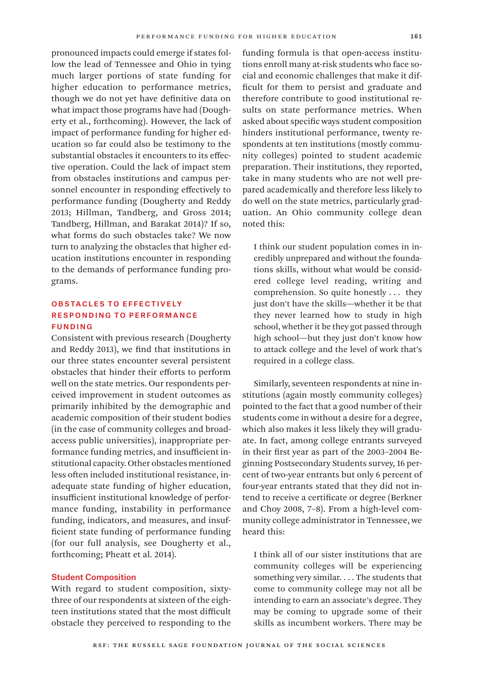pronounced impacts could emerge if states follow the lead of Tennessee and Ohio in tying much larger portions of state funding for higher education to performance metrics, though we do not yet have definitive data on what impact those programs have had (Dougherty et al., forthcoming). However, the lack of impact of performance funding for higher education so far could also be testimony to the substantial obstacles it encounters to its effective operation. Could the lack of impact stem from obstacles institutions and campus personnel encounter in responding effectively to performance funding (Dougherty and Reddy 2013; Hillman, Tandberg, and Gross 2014; Tandberg, Hillman, and Barakat 2014)? If so, what forms do such obstacles take? We now turn to analyzing the obstacles that higher education institutions encounter in responding to the demands of performance funding programs.

# Obstacles to Effectively Responding to Performance Funding

Consistent with previous research (Dougherty and Reddy 2013), we find that institutions in our three states encounter several persistent obstacles that hinder their efforts to perform well on the state metrics. Our respondents perceived improvement in student outcomes as primarily inhibited by the demographic and academic composition of their student bodies (in the case of community colleges and broadaccess public universities), inappropriate performance funding metrics, and insufficient institutional capacity. Other obstacles mentioned less often included institutional resistance, inadequate state funding of higher education, insufficient institutional knowledge of performance funding, instability in performance funding, indicators, and measures, and insufficient state funding of performance funding (for our full analysis, see Dougherty et al., forthcoming; Pheatt et al. 2014).

## Student Composition

With regard to student composition, sixtythree of our respondents at sixteen of the eighteen institutions stated that the most difficult obstacle they perceived to responding to the

funding formula is that open-access institutions enroll many at-risk students who face social and economic challenges that make it difficult for them to persist and graduate and therefore contribute to good institutional results on state performance metrics. When asked about specific ways student composition hinders institutional performance, twenty respondents at ten institutions (mostly community colleges) pointed to student academic preparation. Their institutions, they reported, take in many students who are not well prepared academically and therefore less likely to do well on the state metrics, particularly graduation. An Ohio community college dean noted this:

I think our student population comes in incredibly unprepared and without the foundations skills, without what would be considered college level reading, writing and comprehension. So quite honestly . . . they just don't have the skills—whether it be that they never learned how to study in high school, whether it be they got passed through high school—but they just don't know how to attack college and the level of work that's required in a college class.

Similarly, seventeen respondents at nine institutions (again mostly community colleges) pointed to the fact that a good number of their students come in without a desire for a degree, which also makes it less likely they will graduate. In fact, among college entrants surveyed in their first year as part of the 2003–2004 Beginning Postsecondary Students survey, 16 percent of two-year entrants but only 6 percent of four-year entrants stated that they did not intend to receive a certificate or degree (Berkner and Choy 2008, 7–8). From a high-level community college administrator in Tennessee, we heard this:

I think all of our sister institutions that are community colleges will be experiencing something very similar. . . . The students that come to community college may not all be intending to earn an associate's degree. They may be coming to upgrade some of their skills as incumbent workers. There may be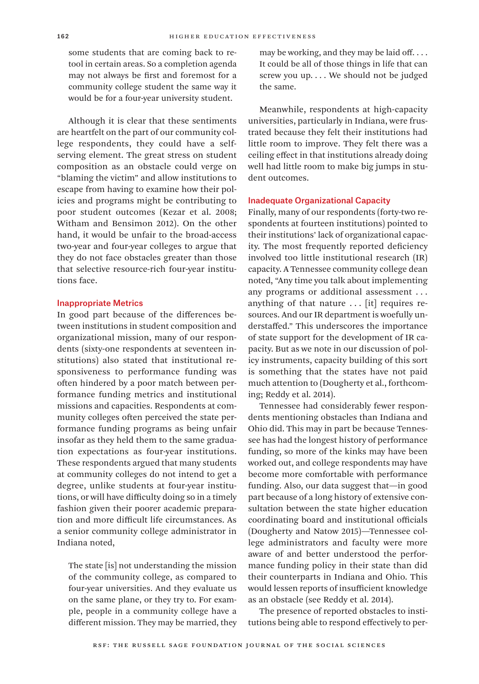some students that are coming back to retool in certain areas. So a completion agenda may not always be first and foremost for a community college student the same way it would be for a four-year university student.

Although it is clear that these sentiments are heartfelt on the part of our community college respondents, they could have a selfserving element. The great stress on student composition as an obstacle could verge on "blaming the victim" and allow institutions to escape from having to examine how their policies and programs might be contributing to poor student outcomes (Kezar et al. 2008; Witham and Bensimon 2012). On the other hand, it would be unfair to the broad-access two-year and four-year colleges to argue that they do not face obstacles greater than those that selective resource-rich four-year institutions face.

## Inappropriate Metrics

In good part because of the differences between institutions in student composition and organizational mission, many of our respondents (sixty-one respondents at seventeen institutions) also stated that institutional responsiveness to performance funding was often hindered by a poor match between performance funding metrics and institutional missions and capacities. Respondents at community colleges often perceived the state performance funding programs as being unfair insofar as they held them to the same graduation expectations as four-year institutions. These respondents argued that many students at community colleges do not intend to get a degree, unlike students at four-year institutions, or will have difficulty doing so in a timely fashion given their poorer academic preparation and more difficult life circumstances. As a senior community college administrator in Indiana noted,

The state [is] not understanding the mission of the community college, as compared to four-year universities. And they evaluate us on the same plane, or they try to. For example, people in a community college have a different mission. They may be married, they

may be working, and they may be laid off. . . . It could be all of those things in life that can screw you up. . . . We should not be judged the same.

Meanwhile, respondents at high-capacity universities, particularly in Indiana, were frustrated because they felt their institutions had little room to improve. They felt there was a ceiling effect in that institutions already doing well had little room to make big jumps in student outcomes.

## Inadequate Organizational Capacity

Finally, many of our respondents (forty-two respondents at fourteen institutions) pointed to their institutions' lack of organizational capacity. The most frequently reported deficiency involved too little institutional research (IR) capacity. A Tennessee community college dean noted, "Any time you talk about implementing any programs or additional assessment . . . anything of that nature  $\ldots$  [it] requires resources. And our IR department is woefully understaffed." This underscores the importance of state support for the development of IR capacity. But as we note in our discussion of policy instruments, capacity building of this sort is something that the states have not paid much attention to (Dougherty et al., forthcoming; Reddy et al. 2014).

Tennessee had considerably fewer respondents mentioning obstacles than Indiana and Ohio did. This may in part be because Tennessee has had the longest history of performance funding, so more of the kinks may have been worked out, and college respondents may have become more comfortable with performance funding. Also, our data suggest that—in good part because of a long history of extensive consultation between the state higher education coordinating board and institutional officials (Dougherty and Natow 2015)—Tennessee college administrators and faculty were more aware of and better understood the performance funding policy in their state than did their counterparts in Indiana and Ohio. This would lessen reports of insufficient knowledge as an obstacle (see Reddy et al. 2014).

The presence of reported obstacles to institutions being able to respond effectively to per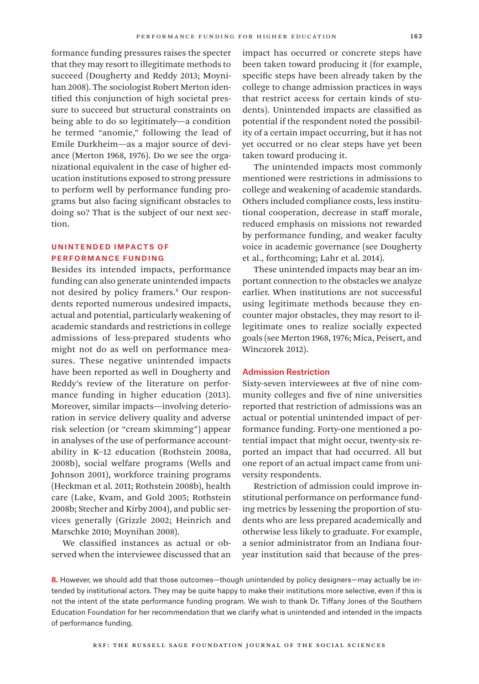formance funding pressures raises the specter that they may resort to illegitimate methods to succeed (Dougherty and Reddy 2013; Moynihan 2008). The sociologist Robert Merton identified this conjunction of high societal pressure to succeed but structural constraints on being able to do so legitimately—a condition he termed "anomie," following the lead of Emile Durkheim—as a major source of deviance (Merton 1968, 1976). Do we see the organizational equivalent in the case of higher education institutions exposed to strong pressure to perform well by performance funding programs but also facing significant obstacles to doing so? That is the subject of our next section.

## Unintended Impacts of Performance Funding

Besides its intended impacts, performance funding can also generate unintended impacts not desired by policy framers.8 Our respondents reported numerous undesired impacts, actual and potential, particularly weakening of academic standards and restrictions in college admissions of less-prepared students who might not do as well on performance measures. These negative unintended impacts have been reported as well in Dougherty and Reddy's review of the literature on performance funding in higher education (2013). Moreover, similar impacts—involving deterioration in service delivery quality and adverse risk selection (or "cream skimming") appear in analyses of the use of performance accountability in K–12 education (Rothstein 2008a, 2008b), social welfare programs (Wells and Johnson 2001), workforce training programs (Heckman et al. 2011; Rothstein 2008b), health care (Lake, Kvam, and Gold 2005; Rothstein 2008b; Stecher and Kirby 2004), and public services generally (Grizzle 2002; Heinrich and Marschke 2010; Moynihan 2008).

We classified instances as actual or observed when the interviewee discussed that an

impact has occurred or concrete steps have been taken toward producing it (for example, specific steps have been already taken by the college to change admission practices in ways that restrict access for certain kinds of students). Unintended impacts are classified as potential if the respondent noted the possibility of a certain impact occurring, but it has not yet occurred or no clear steps have yet been taken toward producing it.

The unintended impacts most commonly mentioned were restrictions in admissions to college and weakening of academic standards. Others included compliance costs, less institutional cooperation, decrease in staff morale, reduced emphasis on missions not rewarded by performance funding, and weaker faculty voice in academic governance (see Dougherty et al., forthcoming; Lahr et al. 2014).

These unintended impacts may bear an important connection to the obstacles we analyze earlier. When institutions are not successful using legitimate methods because they encounter major obstacles, they may resort to illegitimate ones to realize socially expected goals (see Merton 1968, 1976; Mica, Peisert, and Winczorek 2012).

## Admission Restriction

Sixty-seven interviewees at five of nine community colleges and five of nine universities reported that restriction of admissions was an actual or potential unintended impact of performance funding. Forty-one mentioned a potential impact that might occur, twenty-six reported an impact that had occurred. All but one report of an actual impact came from university respondents.

Restriction of admission could improve institutional performance on performance funding metrics by lessening the proportion of students who are less prepared academically and otherwise less likely to graduate. For example, a senior administrator from an Indiana fouryear institution said that because of the pres-

**8.** However, we should add that those outcomes—though unintended by policy designers—may actually be intended by institutional actors. They may be quite happy to make their institutions more selective, even if this is not the intent of the state performance funding program. We wish to thank Dr. Tiffany Jones of the Southern Education Foundation for her recommendation that we clarify what is unintended and intended in the impacts of performance funding.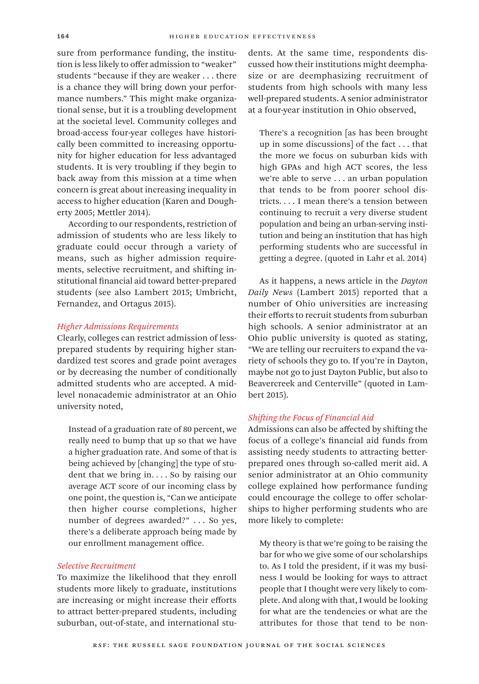sure from performance funding, the institution is less likely to offer admission to "weaker" students "because if they are weaker . . . there is a chance they will bring down your performance numbers." This might make organizational sense, but it is a troubling development at the societal level. Community colleges and broad-access four-year colleges have historically been committed to increasing opportunity for higher education for less advantaged students. It is very troubling if they begin to back away from this mission at a time when concern is great about increasing inequality in access to higher education (Karen and Dougherty 2005; Mettler 2014).

According to our respondents, restriction of admission of students who are less likely to graduate could occur through a variety of means, such as higher admission requirements, selective recruitment, and shifting institutional financial aid toward better-prepared students (see also Lambert 2015; Umbricht, Fernandez, and Ortagus 2015).

## *Higher Admissions Requirements*

Clearly, colleges can restrict admission of lessprepared students by requiring higher standardized test scores and grade point averages or by decreasing the number of conditionally admitted students who are accepted. A midlevel nonacademic administrator at an Ohio university noted,

Instead of a graduation rate of 80 percent, we really need to bump that up so that we have a higher graduation rate. And some of that is being achieved by [changing] the type of student that we bring in. . . . So by raising our average ACT score of our incoming class by one point, the question is, "Can we anticipate then higher course completions, higher number of degrees awarded?" ... So yes, there's a deliberate approach being made by our enrollment management office.

## *Selective Recruitment*

To maximize the likelihood that they enroll students more likely to graduate, institutions are increasing or might increase their efforts to attract better-prepared students, including suburban, out-of-state, and international students. At the same time, respondents discussed how their institutions might deemphasize or are deemphasizing recruitment of students from high schools with many less well-prepared students. A senior administrator at a four-year institution in Ohio observed,

There's a recognition [as has been brought up in some discussions] of the fact . . . that the more we focus on suburban kids with high GPAs and high ACT scores, the less we're able to serve . . . an urban population that tends to be from poorer school districts. . . . I mean there's a tension between continuing to recruit a very diverse student population and being an urban-serving institution and being an institution that has high performing students who are successful in getting a degree. (quoted in Lahr et al. 2014)

As it happens, a news article in the *Dayton Daily News* (Lambert 2015) reported that a number of Ohio universities are increasing their efforts to recruit students from suburban high schools. A senior administrator at an Ohio public university is quoted as stating, "We are telling our recruiters to expand the variety of schools they go to. If you're in Dayton, maybe not go to just Dayton Public, but also to Beavercreek and Centerville" (quoted in Lambert 2015).

## *Shifting the Focus of Financial Aid*

Admissions can also be affected by shifting the focus of a college's financial aid funds from assisting needy students to attracting betterprepared ones through so-called merit aid. A senior administrator at an Ohio community college explained how performance funding could encourage the college to offer scholarships to higher performing students who are more likely to complete:

My theory is that we're going to be raising the bar for who we give some of our scholarships to. As I told the president, if it was my business I would be looking for ways to attract people that I thought were very likely to complete. And along with that, I would be looking for what are the tendencies or what are the attributes for those that tend to be non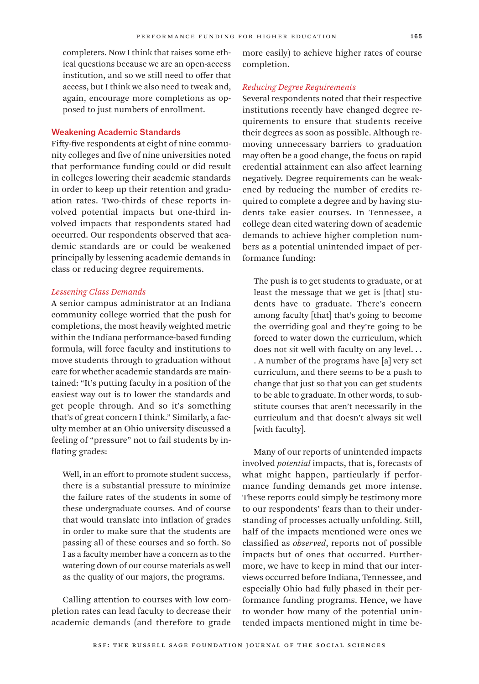completers. Now I think that raises some ethical questions because we are an open-access institution, and so we still need to offer that access, but I think we also need to tweak and, again, encourage more completions as opposed to just numbers of enrollment.

## Weakening Academic Standards

Fifty-five respondents at eight of nine community colleges and five of nine universities noted that performance funding could or did result in colleges lowering their academic standards in order to keep up their retention and graduation rates. Two-thirds of these reports involved potential impacts but one-third involved impacts that respondents stated had occurred. Our respondents observed that academic standards are or could be weakened principally by lessening academic demands in class or reducing degree requirements.

## *Lessening Class Demands*

A senior campus administrator at an Indiana community college worried that the push for completions, the most heavily weighted metric within the Indiana performance-based funding formula, will force faculty and institutions to move students through to graduation without care for whether academic standards are maintained: "It's putting faculty in a position of the easiest way out is to lower the standards and get people through. And so it's something that's of great concern I think." Similarly, a faculty member at an Ohio university discussed a feeling of "pressure" not to fail students by inflating grades:

Well, in an effort to promote student success, there is a substantial pressure to minimize the failure rates of the students in some of these undergraduate courses. And of course that would translate into inflation of grades in order to make sure that the students are passing all of these courses and so forth. So I as a faculty member have a concern as to the watering down of our course materials as well as the quality of our majors, the programs.

Calling attention to courses with low completion rates can lead faculty to decrease their academic demands (and therefore to grade

more easily) to achieve higher rates of course completion.

## *Reducing Degree Requirements*

Several respondents noted that their respective institutions recently have changed degree requirements to ensure that students receive their degrees as soon as possible. Although removing unnecessary barriers to graduation may often be a good change, the focus on rapid credential attainment can also affect learning negatively. Degree requirements can be weakened by reducing the number of credits required to complete a degree and by having students take easier courses. In Tennessee, a college dean cited watering down of academic demands to achieve higher completion numbers as a potential unintended impact of performance funding:

The push is to get students to graduate, or at least the message that we get is [that] students have to graduate. There's concern among faculty [that] that's going to become the overriding goal and they're going to be forced to water down the curriculum, which does not sit well with faculty on any level. . . . A number of the programs have [a] very set curriculum, and there seems to be a push to change that just so that you can get students to be able to graduate. In other words, to substitute courses that aren't necessarily in the curriculum and that doesn't always sit well [with faculty].

Many of our reports of unintended impacts involved *potential* impacts, that is, forecasts of what might happen, particularly if performance funding demands get more intense. These reports could simply be testimony more to our respondents' fears than to their understanding of processes actually unfolding. Still, half of the impacts mentioned were ones we classified as *observed*, reports not of possible impacts but of ones that occurred. Furthermore, we have to keep in mind that our interviews occurred before Indiana, Tennessee, and especially Ohio had fully phased in their performance funding programs. Hence, we have to wonder how many of the potential unintended impacts mentioned might in time be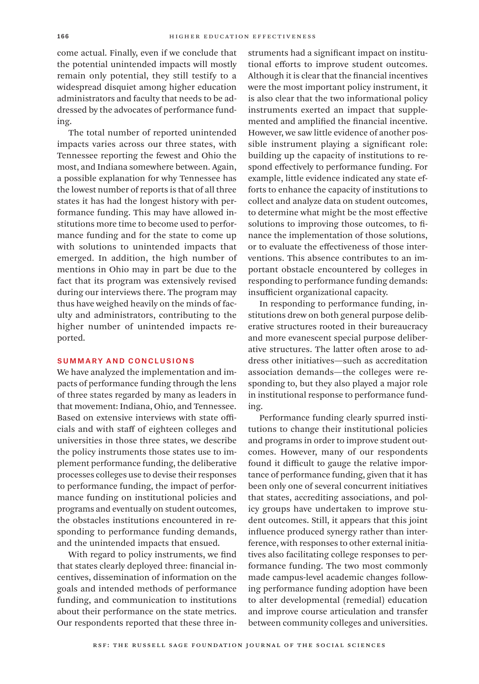come actual. Finally, even if we conclude that the potential unintended impacts will mostly remain only potential, they still testify to a widespread disquiet among higher education administrators and faculty that needs to be addressed by the advocates of performance funding.

The total number of reported unintended impacts varies across our three states, with Tennessee reporting the fewest and Ohio the most, and Indiana somewhere between. Again, a possible explanation for why Tennessee has the lowest number of reports is that of all three states it has had the longest history with performance funding. This may have allowed institutions more time to become used to performance funding and for the state to come up with solutions to unintended impacts that emerged. In addition, the high number of mentions in Ohio may in part be due to the fact that its program was extensively revised during our interviews there. The program may thus have weighed heavily on the minds of faculty and administrators, contributing to the higher number of unintended impacts reported.

## Summary and Conclusions

We have analyzed the implementation and impacts of performance funding through the lens of three states regarded by many as leaders in that movement: Indiana, Ohio, and Tennessee. Based on extensive interviews with state officials and with staff of eighteen colleges and universities in those three states, we describe the policy instruments those states use to implement performance funding, the deliberative processes colleges use to devise their responses to performance funding, the impact of performance funding on institutional policies and programs and eventually on student outcomes, the obstacles institutions encountered in responding to performance funding demands, and the unintended impacts that ensued.

With regard to policy instruments, we find that states clearly deployed three: financial incentives, dissemination of information on the goals and intended methods of performance funding, and communication to institutions about their performance on the state metrics. Our respondents reported that these three instruments had a significant impact on institutional efforts to improve student outcomes. Although it is clear that the financial incentives were the most important policy instrument, it is also clear that the two informational policy instruments exerted an impact that supplemented and amplified the financial incentive. However, we saw little evidence of another possible instrument playing a significant role: building up the capacity of institutions to respond effectively to performance funding. For example, little evidence indicated any state efforts to enhance the capacity of institutions to collect and analyze data on student outcomes, to determine what might be the most effective solutions to improving those outcomes, to finance the implementation of those solutions, or to evaluate the effectiveness of those interventions. This absence contributes to an important obstacle encountered by colleges in responding to performance funding demands: insufficient organizational capacity.

In responding to performance funding, institutions drew on both general purpose deliberative structures rooted in their bureaucracy and more evanescent special purpose deliberative structures. The latter often arose to address other initiatives—such as accreditation association demands—the colleges were responding to, but they also played a major role in institutional response to performance funding.

Performance funding clearly spurred institutions to change their institutional policies and programs in order to improve student outcomes. However, many of our respondents found it difficult to gauge the relative importance of performance funding, given that it has been only one of several concurrent initiatives that states, accrediting associations, and policy groups have undertaken to improve student outcomes. Still, it appears that this joint influence produced synergy rather than interference, with responses to other external initiatives also facilitating college responses to performance funding. The two most commonly made campus-level academic changes following performance funding adoption have been to alter developmental (remedial) education and improve course articulation and transfer between community colleges and universities.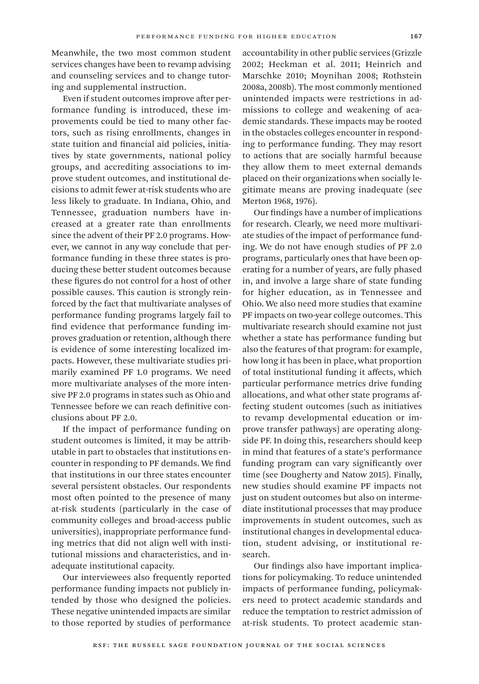Meanwhile, the two most common student services changes have been to revamp advising and counseling services and to change tutoring and supplemental instruction.

Even if student outcomes improve after performance funding is introduced, these improvements could be tied to many other factors, such as rising enrollments, changes in state tuition and financial aid policies, initiatives by state governments, national policy groups, and accrediting associations to improve student outcomes, and institutional decisions to admit fewer at-risk students who are less likely to graduate. In Indiana, Ohio, and Tennessee, graduation numbers have increased at a greater rate than enrollments since the advent of their PF 2.0 programs. However, we cannot in any way conclude that performance funding in these three states is producing these better student outcomes because these figures do not control for a host of other possible causes. This caution is strongly reinforced by the fact that multivariate analyses of performance funding programs largely fail to find evidence that performance funding improves graduation or retention, although there is evidence of some interesting localized impacts. However, these multivariate studies primarily examined PF 1.0 programs. We need more multivariate analyses of the more intensive PF 2.0 programs in states such as Ohio and Tennessee before we can reach definitive conclusions about PF 2.0.

If the impact of performance funding on student outcomes is limited, it may be attributable in part to obstacles that institutions encounter in responding to PF demands. We find that institutions in our three states encounter several persistent obstacles. Our respondents most often pointed to the presence of many at-risk students (particularly in the case of community colleges and broad-access public universities), inappropriate performance funding metrics that did not align well with institutional missions and characteristics, and inadequate institutional capacity.

Our interviewees also frequently reported performance funding impacts not publicly intended by those who designed the policies. These negative unintended impacts are similar to those reported by studies of performance

accountability in other public services (Grizzle 2002; Heckman et al. 2011; Heinrich and Marschke 2010; Moynihan 2008; Rothstein 2008a, 2008b). The most commonly mentioned unintended impacts were restrictions in admissions to college and weakening of academic standards. These impacts may be rooted in the obstacles colleges encounter in responding to performance funding. They may resort to actions that are socially harmful because they allow them to meet external demands placed on their organizations when socially legitimate means are proving inadequate (see Merton 1968, 1976).

Our findings have a number of implications for research. Clearly, we need more multivariate studies of the impact of performance funding. We do not have enough studies of PF 2.0 programs, particularly ones that have been operating for a number of years, are fully phased in, and involve a large share of state funding for higher education, as in Tennessee and Ohio. We also need more studies that examine PF impacts on two-year college outcomes. This multivariate research should examine not just whether a state has performance funding but also the features of that program: for example, how long it has been in place, what proportion of total institutional funding it affects, which particular performance metrics drive funding allocations, and what other state programs affecting student outcomes (such as initiatives to revamp developmental education or improve transfer pathways) are operating alongside PF. In doing this, researchers should keep in mind that features of a state's performance funding program can vary significantly over time (see Dougherty and Natow 2015). Finally, new studies should examine PF impacts not just on student outcomes but also on intermediate institutional processes that may produce improvements in student outcomes, such as institutional changes in developmental education, student advising, or institutional research.

Our findings also have important implications for policymaking. To reduce unintended impacts of performance funding, policymakers need to protect academic standards and reduce the temptation to restrict admission of at-risk students. To protect academic stan-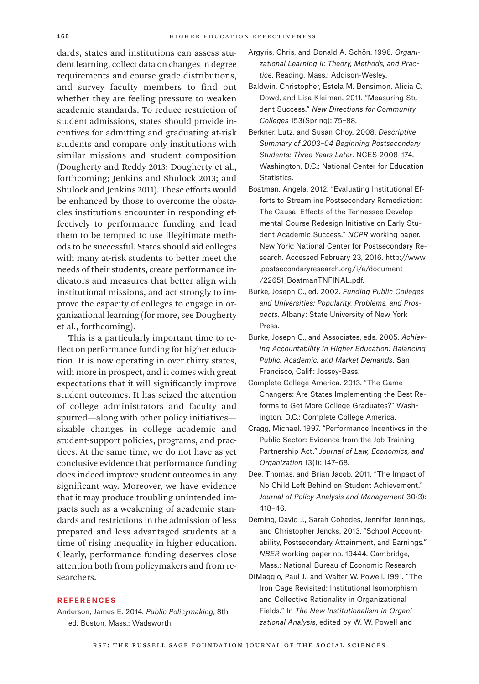dards, states and institutions can assess student learning, collect data on changes in degree requirements and course grade distributions, and survey faculty members to find out whether they are feeling pressure to weaken academic standards. To reduce restriction of student admissions, states should provide incentives for admitting and graduating at-risk students and compare only institutions with similar missions and student composition (Dougherty and Reddy 2013; Dougherty et al., forthcoming; Jenkins and Shulock 2013; and Shulock and Jenkins 2011). These efforts would be enhanced by those to overcome the obstacles institutions encounter in responding effectively to performance funding and lead them to be tempted to use illegitimate methods to be successful. States should aid colleges with many at-risk students to better meet the needs of their students, create performance indicators and measures that better align with institutional missions, and act strongly to improve the capacity of colleges to engage in organizational learning (for more, see Dougherty et al., forthcoming).

This is a particularly important time to reflect on performance funding for higher education. It is now operating in over thirty states, with more in prospect, and it comes with great expectations that it will significantly improve student outcomes. It has seized the attention of college administrators and faculty and spurred—along with other policy initiatives sizable changes in college academic and student-support policies, programs, and practices. At the same time, we do not have as yet conclusive evidence that performance funding does indeed improve student outcomes in any significant way. Moreover, we have evidence that it may produce troubling unintended impacts such as a weakening of academic standards and restrictions in the admission of less prepared and less advantaged students at a time of rising inequality in higher education. Clearly, performance funding deserves close attention both from policymakers and from researchers.

#### **REFERENCES**

Anderson, James E. 2014. *Public Policymaking*, 8th ed. Boston, Mass.: Wadsworth.

- Argyris, Chris, and Donald A. Schön. 1996. *Organizational Learning II: Theory, Methods, and Practice*. Reading, Mass.: Addison-Wesley.
- Baldwin, Christopher, Estela M. Bensimon, Alicia C. Dowd, and Lisa Kleiman. 2011. "Measuring Student Success." *New Directions for Community Colleges* 153(Spring): 75–88.
- Berkner, Lutz, and Susan Choy. 2008. *Descriptive Summary of 2003–04 Beginning Postsecondary Students: Three Years Later*. NCES 2008–174. Washington, D.C.: National Center for Education Statistics.
- Boatman, Angela. 2012. "Evaluating Institutional Efforts to Streamline Postsecondary Remediation: The Causal Effects of the Tennessee Developmental Course Redesign Initiative on Early Student Academic Success." *NCPR* working paper. New York: National Center for Postsecondary Research. Accessed February 23, 2016. [http://www](http://www.postsecondaryresearch.org/i/a/document/22651_BoatmanTNFINAL.pdf) [.postsecondaryresearch.org/i/a/document](http://www.postsecondaryresearch.org/i/a/document/22651_BoatmanTNFINAL.pdf)  [/22651\\_BoatmanTNFINAL.pdf.](http://www.postsecondaryresearch.org/i/a/document/22651_BoatmanTNFINAL.pdf)
- Burke, Joseph C., ed. 2002. *Funding Public Colleges and Universities: Popularity, Problems, and Prospects*. Albany: State University of New York Press.
- Burke, Joseph C., and Associates, eds. 2005. *Achieving Accountability in Higher Education: Balancing Public, Academic, and Market Demands*. San Francisco, Calif.: Jossey-Bass.
- Complete College America. 2013. "The Game Changers: Are States Implementing the Best Reforms to Get More College Graduates?" Washington, D.C.: Complete College America.
- Cragg, Michael. 1997. "Performance Incentives in the Public Sector: Evidence from the Job Training Partnership Act." *Journal of Law, Economics, and Organization* 13(1): 147–68.
- Dee, Thomas, and Brian Jacob. 2011. "The Impact of No Child Left Behind on Student Achievement." *Journal of Policy Analysis and Management* 30(3): 418–46.
- Deming, David J., Sarah Cohodes, Jennifer Jennings, and Christopher Jencks. 2013. "School Accountability, Postsecondary Attainment, and Earnings." *NBER* working paper no. 19444. Cambridge, Mass.: National Bureau of Economic Research.
- DiMaggio, Paul J., and Walter W. Powell. 1991. "The Iron Cage Revisited: Institutional Isomorphism and Collective Rationality in Organizational Fields." In *The New Institutionalism in Organizational Analysis*, edited by W. W. Powell and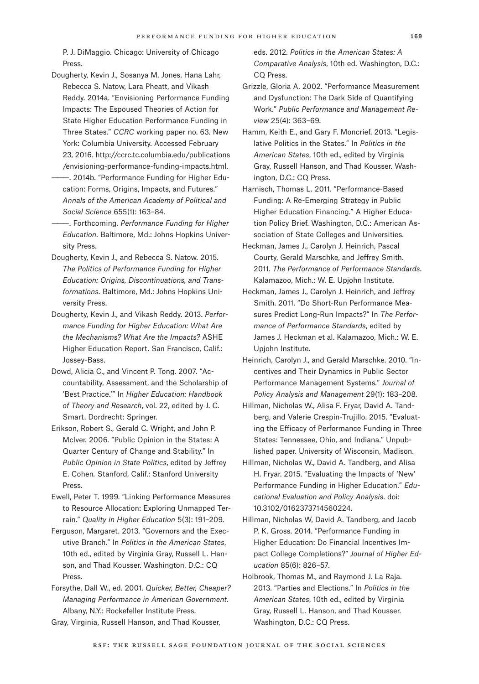P. J. DiMaggio. Chicago: University of Chicago Press.

- Dougherty, Kevin J., Sosanya M. Jones, Hana Lahr, Rebecca S. Natow, Lara Pheatt, and Vikash Reddy. 2014a. "Envisioning Performance Funding Impacts: The Espoused Theories of Action for State Higher Education Performance Funding in Three States." *CCRC* working paper no. 63. New York: Columbia University. Accessed February 23, 2016. [http://ccrc.tc.columbia.edu/publications](http://ccrc.tc.columbia.edu/publications/envisioning-performance-funding-impacts.html) [/envisioning-performance-funding-impacts.html.](http://ccrc.tc.columbia.edu/publications/envisioning-performance-funding-impacts.html)
- ———. 2014b. "Performance Funding for Higher Education: Forms, Origins, Impacts, and Futures." *Annals of the American Academy of Political and Social Science* 655(1): 163–84.
- ———. Forthcoming. *Performance Funding for Higher Education*. Baltimore, Md.: Johns Hopkins University Press.
- Dougherty, Kevin J., and Rebecca S. Natow. 2015. *The Politics of Performance Funding for Higher Education: Origins, Discontinuations, and Transformations.* Baltimore, Md.: Johns Hopkins University Press.
- Dougherty, Kevin J., and Vikash Reddy. 2013. *Performance Funding for Higher Education: What Are the Mechanisms? What Are the Impacts?* ASHE Higher Education Report. San Francisco, Calif.: Jossey-Bass.
- Dowd, Alicia C., and Vincent P. Tong. 2007. "Accountability, Assessment, and the Scholarship of 'Best Practice.'" In *Higher Education: Handbook of Theory and Research*, vol. 22, edited by J. C. Smart. Dordrecht: Springer.
- Erikson, Robert S., Gerald C. Wright, and John P. McIver. 2006. "Public Opinion in the States: A Quarter Century of Change and Stability." In *Public Opinion in State Politics*, edited by Jeffrey E. Cohen*.* Stanford, Calif.: Stanford University Press.
- Ewell, Peter T. 1999. "Linking Performance Measures to Resource Allocation: Exploring Unmapped Terrain." *Quality in Higher Education* 5(3): 191–209.
- Ferguson, Margaret. 2013. "Governors and the Executive Branch." In *Politics in the American States*, 10th ed., edited by Virginia Gray, Russell L. Hanson, and Thad Kousser. Washington, D.C.: CQ Press.
- Forsythe, Dall W., ed. 2001. *Quicker, Better, Cheaper? Managing Performance in American Government*. Albany, N.Y.: Rockefeller Institute Press.
- Gray, Virginia, Russell Hanson, and Thad Kousser,

eds. 2012. *Politics in the American States: A Comparative Analysis*, 10th ed. Washington, D.C.: CQ Press.

Grizzle, Gloria A. 2002. "Performance Measurement and Dysfunction: The Dark Side of Quantifying Work." *Public Performance and Management Review* 25(4): 363–69.

- Hamm, Keith E., and Gary F. Moncrief. 2013. "Legislative Politics in the States." In *Politics in the American States*, 10th ed., edited by Virginia Gray, Russell Hanson, and Thad Kousser. Washington, D.C.: CQ Press.
- Harnisch, Thomas L. 2011. "Performance-Based Funding: A Re-Emerging Strategy in Public Higher Education Financing." A Higher Education Policy Brief. Washington, D.C.: American Association of State Colleges and Universities.
- Heckman, James J., Carolyn J. Heinrich, Pascal Courty, Gerald Marschke, and Jeffrey Smith. 2011. *The Performance of Performance Standards*. Kalamazoo, Mich.: W. E. Upjohn Institute.
- Heckman, James J., Carolyn J. Heinrich, and Jeffrey Smith. 2011. "Do Short-Run Performance Measures Predict Long-Run Impacts?" In *The Performance of Performance Standards*, edited by James J. Heckman et al. Kalamazoo, Mich.: W. E. Upjohn Institute.
- Heinrich, Carolyn J., and Gerald Marschke. 2010. "Incentives and Their Dynamics in Public Sector Performance Management Systems*.*" *Journal of Policy Analysis and Management* 29(1): 183–208.
- Hillman, Nicholas W., Alisa F. Fryar, David A. Tandberg, and Valerie Crespin-Trujillo. 2015. "Evaluating the Efficacy of Performance Funding in Three States: Tennessee, Ohio, and Indiana." Unpublished paper. University of Wisconsin, Madison.
- Hillman, Nicholas W., David A. Tandberg, and Alisa H. Fryar. 2015. "Evaluating the Impacts of 'New' Performance Funding in Higher Education." *Educational Evaluation and Policy Analysis*. doi: 10.3102/0162373714560224.
- Hillman, Nicholas W, David A. Tandberg, and Jacob P. K. Gross. 2014. "Performance Funding in Higher Education: Do Financial Incentives Impact College Completions?" *Journal of Higher Education* 85(6): 826–57.
- Holbrook, Thomas M., and Raymond J. La Raja. 2013. "Parties and Elections." In *Politics in the American States*, 10th ed., edited by Virginia Gray, Russell L. Hanson, and Thad Kousser. Washington, D.C.: CQ Press.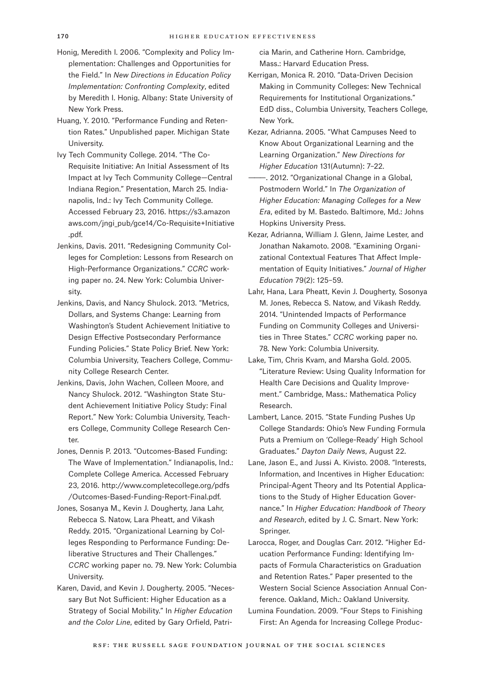- Honig, Meredith I. 2006. "Complexity and Policy Implementation: Challenges and Opportunities for the Field." In *New Directions in Education Policy Implementation: Confronting Complexity*, edited by Meredith I. Honig. Albany: State University of New York Press.
- Huang, Y. 2010. "Performance Funding and Retention Rates." Unpublished paper. Michigan State University.
- Ivy Tech Community College. 2014. "The Co-Requisite Initiative: An Initial Assessment of Its Impact at Ivy Tech Community College—Central Indiana Region." Presentation, March 25*.* Indianapolis, Ind.: Ivy Tech Community College. Accessed February 23, 2016. [https://s3.amazon](https://s3.amazonaws.com/jngi_pub/gce14/Co-Requisite+Initiative.pdf) [aws.com/jngi\\_pub/gce14/Co-Requisite+Initiative](https://s3.amazonaws.com/jngi_pub/gce14/Co-Requisite+Initiative.pdf)  [.pdf.](https://s3.amazonaws.com/jngi_pub/gce14/Co-Requisite+Initiative.pdf)
- Jenkins, Davis. 2011. "Redesigning Community Colleges for Completion: Lessons from Research on High-Performance Organizations." *CCRC* working paper no. 24. New York: Columbia University.
- Jenkins, Davis, and Nancy Shulock. 2013. "Metrics, Dollars, and Systems Change: Learning from Washington's Student Achievement Initiative to Design Effective Postsecondary Performance Funding Policies." State Policy Brief. New York: Columbia University, Teachers College, Community College Research Center.
- Jenkins, Davis, John Wachen, Colleen Moore, and Nancy Shulock. 2012. "Washington State Student Achievement Initiative Policy Study: Final Report." New York: Columbia University, Teachers College, Community College Research Center.
- Jones, Dennis P. 2013. "Outcomes-Based Funding: The Wave of Implementation." Indianapolis, Ind.: Complete College America. Accessed February 23, 2016. [http://www.completecollege.org/pdfs](http://www.completecollege.org/pdfs/Outcomes-Based-Funding-Report-Final.pdf) [/Outcomes-Based-Funding-Report-Final.pdf.](http://www.completecollege.org/pdfs/Outcomes-Based-Funding-Report-Final.pdf)
- Jones, Sosanya M., Kevin J. Dougherty, Jana Lahr, Rebecca S. Natow, Lara Pheatt, and Vikash Reddy. 2015. "Organizational Learning by Colleges Responding to Performance Funding: Deliberative Structures and Their Challenges." *CCRC* working paper no. 79. New York: Columbia University.
- Karen, David, and Kevin J. Dougherty. 2005. "Necessary But Not Sufficient: Higher Education as a Strategy of Social Mobility." In *Higher Education and the Color Line*, edited by Gary Orfield, Patri-

cia Marin, and Catherine Horn. Cambridge, Mass.: Harvard Education Press.

- Kerrigan, Monica R. 2010. "Data-Driven Decision Making in Community Colleges: New Technical Requirements for Institutional Organizations." EdD diss., Columbia University, Teachers College, New York.
- Kezar, Adrianna. 2005. "What Campuses Need to Know About Organizational Learning and the Learning Organization." *New Directions for Higher Education* 131(Autumn): 7–22.
- ———. 2012. "Organizational Change in a Global, Postmodern World." In *The Organization of Higher Education: Managing Colleges for a New Era*, edited by M. Bastedo. Baltimore, Md.: Johns Hopkins University Press.
- Kezar, Adrianna, William J. Glenn, Jaime Lester, and Jonathan Nakamoto. 2008. "Examining Organizational Contextual Features That Affect Implementation of Equity Initiatives." *Journal of Higher Education* 79(2): 125–59.
- Lahr, Hana, Lara Pheatt, Kevin J. Dougherty, Sosonya M. Jones, Rebecca S. Natow, and Vikash Reddy. 2014. "Unintended Impacts of Performance Funding on Community Colleges and Universities in Three States." *CCRC* working paper no. 78*.* New York: Columbia University.
- Lake, Tim, Chris Kvam, and Marsha Gold. 2005. "Literature Review: Using Quality Information for Health Care Decisions and Quality Improvement." Cambridge, Mass.: Mathematica Policy Research.
- Lambert, Lance. 2015. "State Funding Pushes Up College Standards: Ohio's New Funding Formula Puts a Premium on 'College-Ready' High School Graduates." *Dayton Daily News*, August 22.
- Lane, Jason E., and Jussi A. Kivisto. 2008. "Interests, Information, and Incentives in Higher Education: Principal-Agent Theory and Its Potential Applications to the Study of Higher Education Governance." In *Higher Education: Handbook of Theory and Research*, edited by J. C. Smart. New York: Springer.
- Larocca, Roger, and Douglas Carr. 2012. "Higher Education Performance Funding: Identifying Impacts of Formula Characteristics on Graduation and Retention Rates." Paper presented to the Western Social Science Association Annual Conference. Oakland, Mich.: Oakland University.
- Lumina Foundation. 2009. "Four Steps to Finishing First: An Agenda for Increasing College Produc-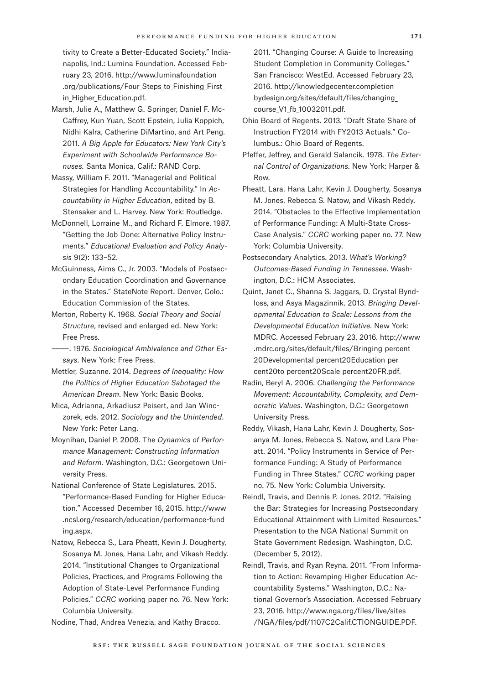tivity to Create a Better-Educated Society." Indianapolis, Ind.: Lumina Foundation. Accessed February 23, 2016. [http://www.luminafoundation](http://www.luminafoundation.org/publications/Four_Steps_to_Finishing_First_in_Higher_Education.pdf) .org/publications/Four Steps to Finishing First in Higher Education.pdf.

- Marsh, Julie A., Matthew G. Springer, Daniel F. Mc-Caffrey, Kun Yuan, Scott Epstein, Julia Koppich, Nidhi Kalra, Catherine DiMartino, and Art Peng. 2011. *A Big Apple for Educators: New York City's Experiment with Schoolwide Performance Bonuses.* Santa Monica, Calif.: RAND Corp.
- Massy, William F. 2011. "Managerial and Political Strategies for Handling Accountability." In *Accountability in Higher Education*, edited by B. Stensaker and L. Harvey. New York: Routledge.
- McDonnell, Lorraine M., and Richard F. Elmore. 1987. "Getting the Job Done: Alternative Policy Instruments." *Educational Evaluation and Policy Analysis* 9(2): 133–52.
- McGuinness, Aims C., Jr. 2003. "Models of Postsecondary Education Coordination and Governance in the States." StateNote Report. Denver, Colo.: Education Commission of the States.
- Merton, Roberty K. 1968. *Social Theory and Social Structure*, revised and enlarged ed. New York: Free Press.
- ———. 1976. *Sociological Ambivalence and Other Essays*. New York: Free Press.
- Mettler, Suzanne. 2014. *Degrees of Inequality: How the Politics of Higher Education Sabotaged the American Dream*. New York: Basic Books.
- Mica, Adrianna, Arkadiusz Peisert, and Jan Winczorek, eds. 2012. *Sociology and the Unintended*. New York: Peter Lang.
- Moynihan, Daniel P. 2008. The *Dynamics of Performance Management: Constructing Information and Reform*. Washington, D.C.: Georgetown University Press.
- National Conference of State Legislatures. 2015. "Performance-Based Funding for Higher Education." Accessed December 16, 2015. [http://www](http://www.ncsl.org/research/education/performance-funding.aspx) [.ncsl.org/research/education/performance-fund](http://www.ncsl.org/research/education/performance-funding.aspx)  [ing.aspx.](http://www.ncsl.org/research/education/performance-funding.aspx)
- Natow, Rebecca S., Lara Pheatt, Kevin J. Dougherty, Sosanya M. Jones, Hana Lahr, and Vikash Reddy. 2014. "Institutional Changes to Organizational Policies, Practices, and Programs Following the Adoption of State-Level Performance Funding Policies." *CCRC* working paper no. 76. New York: Columbia University.

Nodine, Thad, Andrea Venezia, and Kathy Bracco.

2011. "Changing Course: A Guide to Increasing Student Completion in Community Colleges." San Francisco: WestEd. Accessed February 23, 2016. [http://knowledgecenter.completion](http://knowledgecenter.completionbydesign.org/sites/default/files/changing_course_V1_fb_10032011.pdf) [bydesign.org/sites/default/files/changing\\_](http://knowledgecenter.completionbydesign.org/sites/default/files/changing_course_V1_fb_10032011.pdf) [course\\_V1\\_fb\\_10032011.pdf.](http://knowledgecenter.completionbydesign.org/sites/default/files/changing_course_V1_fb_10032011.pdf)

- Ohio Board of Regents. 2013. "Draft State Share of Instruction FY2014 with FY2013 Actuals." Columbus.: Ohio Board of Regents.
- Pfeffer, Jeffrey, and Gerald Salancik. 1978. *The External Control of Organizations*. New York: Harper & Row.
- Pheatt, Lara, Hana Lahr, Kevin J. Dougherty, Sosanya M. Jones, Rebecca S. Natow, and Vikash Reddy. 2014. "Obstacles to the Effective Implementation of Performance Funding: A Multi-State Cross-Case Analysis." *CCRC* working paper no. 77. New York: Columbia University.
- Postsecondary Analytics. 2013. *What's Working? Outcomes-Based Funding in Tennessee*. Washington, D.C.: HCM Associates.
- Quint, Janet C., Shanna S. Jaggars, D. Crystal Byndloss, and Asya Magazinnik. 2013. *Bringing Developmental Education to Scale: Lessons from the Developmental Education Initiative*. New York: MDRC. Accessed February 23, 2016. [http://www](http://www.mdrc.org/sites/default/files/Bringing percent20Developmental percent20Education percent20to percent20Scale percent20FR.pdf) [.mdrc.org/sites/default/files/Bringing percent](http://www.mdrc.org/sites/default/files/Bringing percent20Developmental percent20Education percent20to percent20Scale percent20FR.pdf) [20Developmental percent20Education per](http://www.mdrc.org/sites/default/files/Bringing percent20Developmental percent20Education percent20to percent20Scale percent20FR.pdf) [cent20to percent20Scale percent20FR.pdf.](http://www.mdrc.org/sites/default/files/Bringing percent20Developmental percent20Education percent20to percent20Scale percent20FR.pdf)
- Radin, Beryl A. 2006. *Challenging the Performance Movement: Accountability, Complexity, and Democratic Values*. Washington, D.C.: Georgetown University Press.
- Reddy, Vikash, Hana Lahr, Kevin J. Dougherty, Sosanya M. Jones, Rebecca S. Natow, and Lara Pheatt. 2014. "Policy Instruments in Service of Performance Funding: A Study of Performance Funding in Three States." *CCRC* working paper no. 75. New York: Columbia University.
- Reindl, Travis, and Dennis P. Jones. 2012. "Raising the Bar: Strategies for Increasing Postsecondary Educational Attainment with Limited Resources." Presentation to the NGA National Summit on State Government Redesign. Washington, D.C. (December 5, 2012).
- Reindl, Travis, and Ryan Reyna. 2011. "From Information to Action: Revamping Higher Education Accountability Systems." Washington, D.C.: National Governor's Association. Accessed February 23, 2016. [http://www.nga.org/files/live/sites](http://www.nga.org/files/live/sites/NGA/files/pdf/1107C2Calif.CTIONGUIDE.PDF) [/NGA/files/pdf/1107C2Calif.CTIONGUIDE.PDF.](http://www.nga.org/files/live/sites/NGA/files/pdf/1107C2Calif.CTIONGUIDE.PDF)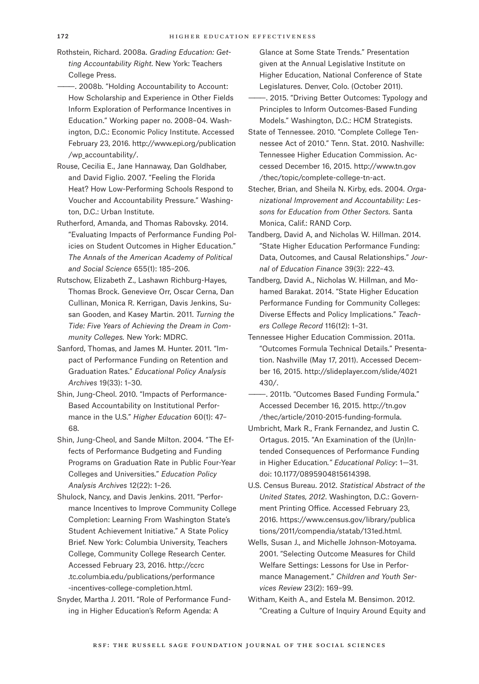- Rothstein, Richard. 2008a. *Grading Education: Getting Accountability Right*. New York: Teachers College Press.
- ———. 2008b. "Holding Accountability to Account: How Scholarship and Experience in Other Fields Inform Exploration of Performance Incentives in Education." Working paper no. 2008–04. Washington, D.C.: Economic Policy Institute. Accessed February 23, 2016. [http://www.epi.org/publication](http://www.epi.org/publication/wp_accountability/) [/wp\\_accountability/.](http://www.epi.org/publication/wp_accountability/)
- Rouse, Cecilia E., Jane Hannaway, Dan Goldhaber, and David Figlio. 2007. "Feeling the Florida Heat? How Low-Performing Schools Respond to Voucher and Accountability Pressure." Washington, D.C.: Urban Institute.
- Rutherford, Amanda, and Thomas Rabovsky. 2014. "Evaluating Impacts of Performance Funding Policies on Student Outcomes in Higher Education." *The Annals of the American Academy of Political and Social Science* 655(1): 185–206.
- Rutschow, Elizabeth Z., Lashawn Richburg-Hayes, Thomas Brock. Genevieve Orr, Oscar Cerna, Dan Cullinan, Monica R. Kerrigan, Davis Jenkins, Susan Gooden, and Kasey Martin. 2011. *Turning the Tide: Five Years of Achieving the Dream in Community Colleges.* New York: MDRC.
- Sanford, Thomas, and James M. Hunter. 2011. "Impact of Performance Funding on Retention and Graduation Rates." *Educational Policy Analysis Archives* 19(33): 1–30.
- Shin, Jung-Cheol. 2010. "Impacts of Performance-Based Accountability on Institutional Performance in the U.S." *Higher Education* 60(1): 47– 68.
- Shin, Jung-Cheol, and Sande Milton. 2004. "The Effects of Performance Budgeting and Funding Programs on Graduation Rate in Public Four-Year Colleges and Universities." *Education Policy Analysis Archives* 12(22): 1–26.
- Shulock, Nancy, and Davis Jenkins. 2011. "Performance Incentives to Improve Community College Completion: Learning From Washington State's Student Achievement Initiative." A State Policy Brief. New York: Columbia University, Teachers College, Community College Research Center. Accessed February 23, 2016. [http://ccrc](http://ccrc.tc.columbia.edu/publications/performance-incentives-college-completion.html) [.tc.columbia.edu/publications/performance](http://ccrc.tc.columbia.edu/publications/performance-incentives-college-completion.html)  [-incentives-college-completion.html.](http://ccrc.tc.columbia.edu/publications/performance-incentives-college-completion.html)
- Snyder, Martha J. 2011. "Role of Performance Funding in Higher Education's Reform Agenda: A

Glance at Some State Trends." Presentation given at the Annual Legislative Institute on Higher Education, National Conference of State Legislatures. Denver, Colo. (October 2011).

- ———. 2015. "Driving Better Outcomes: Typology and Principles to Inform Outcomes-Based Funding Models." Washington, D.C.: HCM Strategists.
- State of Tennessee. 2010. "Complete College Tennessee Act of 2010." Tenn. Stat. 2010. Nashville: Tennessee Higher Education Commission. Accessed December 16, 2015. [http://www.tn.gov](http://www.tn.gov/thec/topic/complete-college-tn-act) [/thec/topic/complete-college-tn-act.](http://www.tn.gov/thec/topic/complete-college-tn-act)
- Stecher, Brian, and Sheila N. Kirby, eds. 2004. *Organizational Improvement and Accountability: Lessons for Education from Other Sectors.* Santa Monica, Calif.: RAND Corp.
- Tandberg, David A, and Nicholas W. Hillman. 2014. "State Higher Education Performance Funding: Data, Outcomes, and Causal Relationships." *Journal of Education Finance* 39(3): 222–43.
- Tandberg, David A., Nicholas W. Hillman, and Mohamed Barakat. 2014. "State Higher Education Performance Funding for Community Colleges: Diverse Effects and Policy Implications." *Teachers College Record* 116(12): 1–31.
- Tennessee Higher Education Commission. 2011a. "Outcomes Formula Technical Details." Presentation. Nashville (May 17, 2011). Accessed December 16, 2015. [http://slideplayer.com/slide/4021](http://slideplayer.com/slide/4021430/) [430/.](http://slideplayer.com/slide/4021430/)
- ———. 2011b. "Outcomes Based Funding Formula." Accessed December 16, 2015. [http://tn.gov](http://tn.gov/thec/article/2010-2015-funding-formula) [/thec/article/2010-2015-funding-formula.](http://tn.gov/thec/article/2010-2015-funding-formula)
- Umbricht, Mark R., Frank Fernandez, and Justin C. Ortagus. 2015. "An Examination of the (Un)Intended Consequences of Performance Funding in Higher Education*." Educational Policy*: 1—31. doi: 10.1177/0895904815614398.
- U.S. Census Bureau. 2012. *Statistical Abstract of the United States, 2012*. Washington, D.C.: Government Printing Office. Accessed February 23, 2016. [https://www.census.gov/library/publica](https://www.census.gov/library/publications/2011/compendia/statab/131ed.html) [tions/2011/compendia/statab/131ed.html.](https://www.census.gov/library/publications/2011/compendia/statab/131ed.html)
- Wells, Susan J., and Michelle Johnson-Motoyama. 2001. "Selecting Outcome Measures for Child Welfare Settings: Lessons for Use in Performance Management." *Children and Youth Services Review* 23(2): 169–99.
- Witham, Keith A., and Estela M. Bensimon. 2012. "Creating a Culture of Inquiry Around Equity and